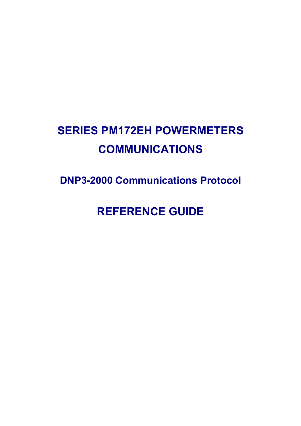# **SERIES PM172EH POWERMETERS COMMUNICATIONS**

**DNP3-2000 Communications Protocol** 

**REFERENCE GUIDE**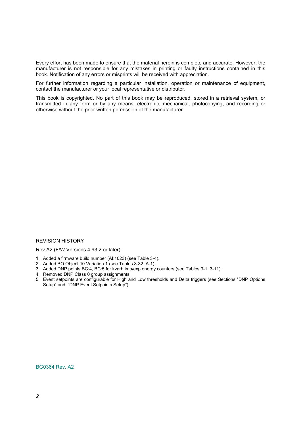Every effort has been made to ensure that the material herein is complete and accurate. However, the manufacturer is not responsible for any mistakes in printing or faulty instructions contained in this book. Notification of any errors or misprints will be received with appreciation.

For further information regarding a particular installation, operation or maintenance of equipment, contact the manufacturer or your local representative or distributor.

This book is copyrighted. No part of this book may be reproduced, stored in a retrieval system, or transmitted in any form or by any means, electronic, mechanical, photocopying, and recording or otherwise without the prior written permission of the manufacturer.

# REVISION HISTORY

Rev.A2 (F/W Versions 4.93.2 or later):

- 1. Added a firmware build number (AI:1023) (see Table 3-4).
- 2. Added BO Object 10 Variation 1 (see Tables 3-32, A-1).
- 3. Added DNP points BC:4, BC:5 for kvarh imp/exp energy counters (see Tables 3-1, 3-11).
- 4. Removed DNP Class 0 group assignments.
- 5. Event setpoints are configurable for High and Low thresholds and Delta triggers (see Sections "DNP Options Setup" and "DNP Event Setpoints Setup").

BG0364 Rev. A2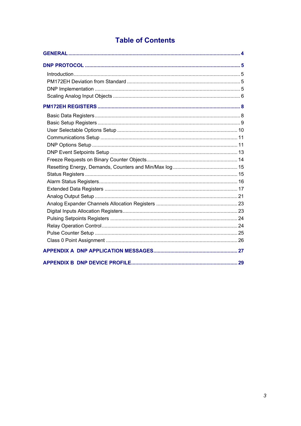# **Table of Contents**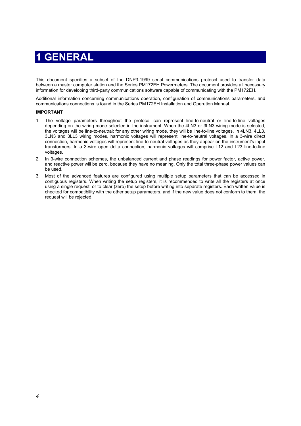# **1 GENERAL**

<span id="page-3-0"></span>This document specifies a subset of the DNP3-1999 serial communications protocol used to transfer data between a master computer station and the Series PM172EH Powermeters. The document provides all necessary information for developing third-party communications software capable of communicating with the PM172EH.

Additional information concerning communications operation, configuration of communications parameters, and communications connections is found in the Series PM172EH Installation and Operation Manual.

### **IMPORTANT**

- 1. The voltage parameters throughout the protocol can represent line-to-neutral or line-to-line voltages depending on the wiring mode selected in the instrument. When the 4LN3 or 3LN3 wiring mode is selected, the voltages will be line-to-neutral; for any other wiring mode, they will be line-to-line voltages. In 4LN3, 4LL3, 3LN3 and 3LL3 wiring modes, harmonic voltages will represent line-to-neutral voltages. In a 3-wire direct connection, harmonic voltages will represent line-to-neutral voltages as they appear on the instrument's input transformers. In a 3-wire open delta connection, harmonic voltages will comprise L12 and L23 line-to-line voltages.
- 2. In 3-wire connection schemes, the unbalanced current and phase readings for power factor, active power, and reactive power will be zero, because they have no meaning. Only the total three-phase power values can be used.
- 3. Most of the advanced features are configured using multiple setup parameters that can be accessed in contiguous registers. When writing the setup registers, it is recommended to write all the registers at once using a single request, or to clear (zero) the setup before writing into separate registers. Each written value is checked for compatibility with the other setup parameters, and if the new value does not conform to them, the request will be rejected.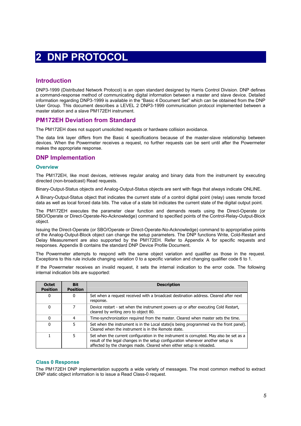# **2 DNP PROTOCOL**

# <span id="page-4-1"></span><span id="page-4-0"></span>**Introduction**

DNP3-1999 (Distributed Network Protocol) is an open standard designed by Harris Control Division. DNP defines a command-response method of communicating digital information between a master and slave device. Detailed information regarding DNP3-1999 is available in the "Basic 4 Document Set" which can be obtained from the DNP User Group. This document describes a LEVEL 2 DNP3-1999 communication protocol implemented between a master station and a slave PM172EH instrument*.*

# <span id="page-4-2"></span>**PM172EH Deviation from Standard**

The PM172EH does not support unsolicited requests or hardware collision avoidance.

The data link layer differs from the Basic 4 specifications because of the master-slave relationship between devices. When the Powermeter receives a request, no further requests can be sent until after the Powermeter makes the appropriate response.

# <span id="page-4-3"></span>**DNP Implementation**

### **Overview**

The PM172EH, like most devices, retrieves regular analog and binary data from the instrument by executing directed (non-broadcast) Read requests.

Binary-Output-Status objects and Analog-Output-Status objects are sent with flags that always indicate ONLINE.

A Binary-Output-Status object that indicates the current state of a control digital point (relay) uses remote forced data as well as local forced data bits. The value of a state bit indicates the current state of the digital output point.

The PM172EH executes the parameter clear function and demands resets using the Direct-Operate (or SBO/Operate or Direct-Operate-No-Acknowledge) command to specified points of the Control-Relay-Output-Block object.

Issuing the Direct-Operate (or SBO/Operate or Direct-Operate-No-Acknowledge) command to appropriative points of the Analog-Output-Block object can change the setup parameters. The DNP functions Write, Cold-Restart and Delay Measurement are also supported by the PM172EH. Refer to Appendix A for specific requests and responses. Appendix B contains the standard DNP Device Profile Document.

The Powermeter attempts to respond with the same object variation and qualifier as those in the request. Exceptions to this rule include changing variation 0 to a specific variation and changing qualifier code 6 to 1.

If the Powermeter receives an invalid request, it sets the internal indication to the error code. The following internal indication bits are supported:

| <b>Octet</b><br><b>Position</b> | <b>Bit</b><br><b>Position</b> | <b>Description</b>                                                                                                                                                                                                                                  |
|---------------------------------|-------------------------------|-----------------------------------------------------------------------------------------------------------------------------------------------------------------------------------------------------------------------------------------------------|
| 0                               | 0                             | Set when a request received with a broadcast destination address. Cleared after next<br>response.                                                                                                                                                   |
| $\Omega$                        |                               | Device restart - set when the instrument powers up or after executing Cold Restart,<br>cleared by writing zero to object 80.                                                                                                                        |
| $\Omega$                        |                               | Time-synchronization required from the master. Cleared when master sets the time.                                                                                                                                                                   |
| $\Omega$                        | 5                             | Set when the instrument is in the Local state (is being programmed via the front panel).<br>Cleared when the instrument is in the Remote state.                                                                                                     |
|                                 | 5                             | Set when the current configuration in the instrument is corrupted. May also be set as a<br>result of the legal changes in the setup configuration whenever another setup is<br>affected by the changes made. Cleared when either setup is reloaded. |

## **Class 0 Response**

The PM172EH DNP implementation supports a wide variety of messages. The most common method to extract DNP static object information is to issue a Read Class-0 request.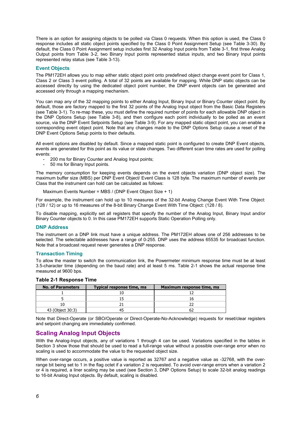There is an option for assigning objects to be polled via Class 0 requests. When this option is used, the Class 0 response includes all static object points specified by the Class 0 Point Assignment Setup (see Table 3-30). By default, the Class 0 Point Assignment setup includes first 32 Analog Input points from Table 3-1, first three Analog Output points from Table 3-2, two Binary Input points represented status inputs, and two Binary Input points represented relay status (see Table 3-13).

### **Event Objects**

The PM172EH allows you to map either static object point onto predefined object change event point for Class 1, Class 2 or Class 3 event polling. A total of 32 points are available for mapping. While DNP static objects can be accessed directly by using the dedicated object point number, the DNP event objects can be generated and accessed only through a mapping mechanism.

You can map any of the 32 mapping points to either Analog Input, Binary Input or Binary Counter object point. By default, those are factory mapped to the first 32 points of the Analog Input object from the Basic Data Registers (see Table 3-1). To re-map these, you must define the required number of points for each allowable DNP object in the DNP Options Setup (see Table 3-8), and then configure each point individually to be polled as an event source, via the DNP Event Setpoints Setup (see Table 3-9). For any mapped static object point, you can enable a corresponding event object point. Note that any changes made to the DNP Options Setup cause a reset of the DNP Event Options Setup points to their defaults.

All event options are disabled by default. Since a mapped static point is configured to create DNP Event objects, events are generated for this point as its value or state changes. Two different scan time rates are used for polling events:

- 200 ms for Binary Counter and Analog Input points;
- 50 ms for Binary Input points.

The memory consumption for keeping events depends on the event objects variation (DNP object size). The maximum buffer size (MBS) per DNP Event Object/ Event Class is 128 byte. The maximum number of events per Class that the instrument can hold can be calculated as follows:

Maximum Events Number = MBS / (DNP Event Object Size + 1)

For example, the instrument can hold up to 10 measures of the 32-bit Analog Change Event With Time Object: (128 / 12) or up to 16 measures of the 8-bit Binary Change Event With Time Object: (128 / 8).

To disable mapping, explicitly set all registers that specify the number of the Analog Input, Binary Input and/or Binary Counter objects to 0. In this case PM172EH supports Static Operation Polling only.

### **DNP Address**

The instrument on a DNP link must have a unique address. The PM172EH allows one of 256 addresses to be selected. The selectable addresses have a range of 0-255. DNP uses the address 65535 for broadcast function. Note that a broadcast request never generates a DNP response.

### **Transaction Timing**

To allow the master to switch the communication link, the Powermeter minimum response time must be at least 3.5-character time (depending on the baud rate) and at least 5 ms. Table 2-1 shows the actual response time measured at 9600 bps.

| <b>No. of Parameters</b> | Typical response time, ms | Maximum response time, ms |  |
|--------------------------|---------------------------|---------------------------|--|
|                          |                           |                           |  |
|                          |                           |                           |  |
|                          |                           |                           |  |
| 43 (Object 30:3)         |                           |                           |  |

### **Table 2-1 Response Time**

Note that Direct-Operate (or SBO/Operate or Direct-Operate-No-Acknowledge) requests for reset/clear registers and setpoint changing are immediately confirmed.

# <span id="page-5-0"></span>**Scaling Analog Input Objects**

With the Analog-Input objects, any of variations 1 through 4 can be used. Variations specified in the tables in Section 3 show those that should be used to read a full-range value without a possible over-range error when no scaling is used to accommodate the value to the requested object size.

When over-range occurs, a positive value is reported as 32767 and a negative value as -32768, with the overrange bit being set to 1 in the flag octet if a variation 2 is requested. To avoid over-range errors when a variation 2 or 4 is required, a liner scaling may be used (see Section 3, DNP Options Setup) to scale 32-bit analog readings to 16-bit Analog Input objects. By default, scaling is disabled.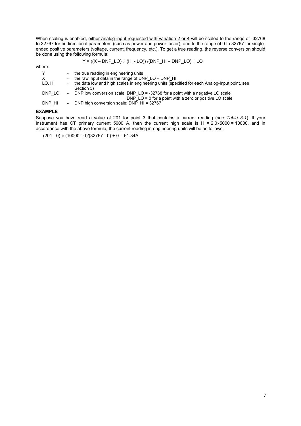When scaling is enabled, either analog input requested with variation 2 or 4 will be scaled to the range of -32768 to 32767 for bi-directional parameters (such as power and power factor), and to the range of 0 to 32767 for singleended positive parameters (voltage, current, frequency, etc.). To get a true reading, the reverse conversion should be done using the following formula:

$$
Y = ((X - DNP\_LO) \times (HI - LO)) / (DNP\_HI - DNP\_LO) + LO
$$

where:

| Y<br>$\mathsf{X}$<br>LO, HI | $\sim$ | - the true reading in engineering units<br>- the raw input data in the range of DNP $LO - DNP$ HI<br>the data low and high scales in engineering units (specified for each Analog-Input point, see<br>Section 3) |
|-----------------------------|--------|------------------------------------------------------------------------------------------------------------------------------------------------------------------------------------------------------------------|
| DNP LO                      |        | - DNP low conversion scale: DNP LO = -32768 for a point with a negative LO scale                                                                                                                                 |
| DNP HI                      |        | DNP $LO = 0$ for a point with a zero or positive LO scale<br>- DNP high conversion scale: DNP $HI = 32767$                                                                                                       |

# **EXAMPLE**

Suppose you have read a value of 201 for point 3 that contains a current reading (see *Table 3-1*). If your instrument has CT primary current 5000 A, then the current high scale is HI = 2.0×5000 = 10000, and in accordance with the above formula, the current reading in engineering units will be as follows:

 $(201 - 0) \times (10000 - 0)/(32767 - 0) + 0 = 61.34A$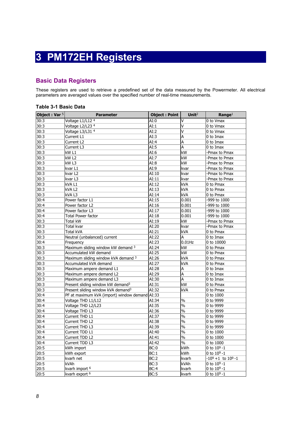# **3 PM172EH Registers**

# <span id="page-7-1"></span><span id="page-7-0"></span>**Basic Data Registers**

These registers are used to retrieve a predefined set of the data measured by the Powermeter. All electrical parameters are averaged values over the specified number of real-time measurements.

# **Table 3-1 Basic Data**

| Object: Var 5 | <b>Parameter</b>                               | <b>Object: Point</b> | Unit $2$                 | $\mathbf{Range}^1$      |
|---------------|------------------------------------------------|----------------------|--------------------------|-------------------------|
| 30:3          | Voltage L1/L12 <sup>4</sup>                    | AI:0                 | ٧                        | 0 to Vmax               |
| 30:3          | Voltage L2/L23 4                               | AI:1                 | V                        | 0 to Vmax               |
| 30:3          | Voltage L3/L31 4                               | AI:2                 | V                        | 0 to Vmax               |
| 30:3          | Current L1                                     | AI:3                 | A                        | 0 to Imax               |
| 30:3          | Current L2                                     | AI:4                 | A                        | 0 to Imax               |
| 30:3          | Current L3                                     | AI:5                 | A                        | 0 to Imax               |
| 30:3          | kW L1                                          | AI:6                 | kW                       | -Pmax to Pmax           |
| 30:3          | kW <sub>L2</sub>                               | AI:7                 | kW                       | -Pmax to Pmax           |
| 30:3          | kW <sub>L3</sub>                               | AI:8                 | kW                       | -Pmax to Pmax           |
| 30:3          | kvar L1                                        | AI:9                 | kvar                     | -Pmax to Pmax           |
| 30:3          | kvar L2                                        | AI:10                | kvar                     | -Pmax to Pmax           |
| 30:3          | kvar L3                                        | AI:11                | kvar                     | -Pmax to Pmax           |
| 30:3          | kVA L1                                         | AI:12                | kVA                      | 0 to Pmax               |
| 30:3          | kVA L2                                         | AI:13                | kVA                      | 0 to Pmax               |
| 30:3          | kVA L3                                         | AI:14                | kVA                      | 0 to Pmax               |
| 30:4          | Power factor L1                                | AI:15                | 0.001                    | -999 to 1000            |
| 30:4          | Power factor L2                                | AI:16                | 0.001                    | -999 to 1000            |
| 30:4          | Power factor L3                                | AI:17                | 0.001                    | -999 to 1000            |
| 30:4          | Total Power factor                             | AI:18                | 0.001                    | -999 to 1000            |
| 30:3          | Total kW                                       | AI:19                | kW                       | -Pmax to Pmax           |
| 30:3          | Total kvar                                     | AI:20                | kvar                     | -Pmax to Pmax           |
| 30:3          | <b>Total kVA</b>                               | AI:21                | kVA                      | 0 to Pmax               |
| 30:3          | Neutral (unbalanced) current                   | AI:22                | Α                        | 0 to Imax               |
| 30:4          | Frequency                                      | AI:23                | $0.01$ Hz                | 0 to 10000              |
| 30:3          | Maximum sliding window kW demand 3             | AI:24                | kW                       | 0 to Pmax               |
| 30:3          | Accumulated kW demand                          | AI:25                | kW                       | 0 to Pmax               |
| 30:3          | Maximum sliding window kVA demand 3            | AI:26                | <b>kVA</b>               | 0 to Pmax               |
| 30:3          | Accumulated kVA demand                         | AI:27                | kVA                      | 0 to Pmax               |
| 30:3          | Maximum ampere demand L1                       | AI:28                | Α                        | 0 to Imax               |
| 30:3          | Maximum ampere demand L2                       | AI:29                | A                        | 0 to Imax               |
| 30:3          | Maximum ampere demand L3                       | AI:30                | Α                        | 0 to Imax               |
| 30:3          | Present sliding window kW demand <sup>3</sup>  | AI:31                | kW                       | 0 to Pmax               |
| 30:3          | Present sliding window kVA demand <sup>3</sup> | AI:32                | <b>kVA</b>               | 0 to Pmax               |
| 30:4          | PF at maximum kVA (import) window demand AI:33 |                      |                          | 0 to 1000               |
| 30:4          | Voltage THD L1/L12                             | AI:34                | $\frac{0}{0}$            | 0 to 9999               |
| 30:4          | Voltage THD L2/L23                             | AI:35                | $\%$                     | 0 to 9999               |
| 30:4          | Voltage THD L3                                 | AI:36                | $\frac{0}{0}$            | 0 to 9999               |
| 30:4          | Current THD L1                                 | AI:37                | $\frac{0}{0}$            | 0 to 9999               |
| 30:4          | Current THD L2                                 | AI:38                | $\%$                     | 0 to 9999               |
| 30:4          | Current THD L3                                 | AI:39                | $\%$                     | 0 to 9999               |
| 30:4          | Current TDD L1                                 | AI:40                | $\overline{\frac{0}{6}}$ | 0 to 1000               |
| 30:4          | Current TDD L2                                 | AI:41                | $\frac{1}{2}$            | 0 to 1000               |
| 30:4          | Current TDD L3                                 | AI:42                | $\%$                     | 0 to 1000               |
| 20:5          | kWh import                                     | BC:0                 | kWh                      | 0 to $10^9 - 1$         |
| 20:5          | kWh export                                     | BC:1                 | kWh                      | 0 to $10^9 - 1$         |
| 20:5          | kvarh net                                      | BC:2                 | kvarh                    | $-109 + 1$ to $109 - 1$ |
| 20:5          | kVAh                                           | BC:3                 | kVAh                     | 0 to $10^9 - 1$         |
| 20:5          | kvarh import <sup>6</sup>                      | BC:4                 | kvarh                    | 0 to $10^9 - 1$         |
| 20:5          | kvarh export <sup>6</sup>                      | BC:5                 | kvarh                    | 0 to $10^9 - 1$         |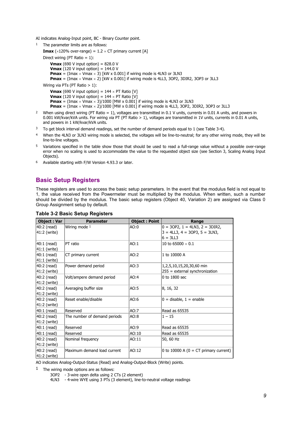AI indicates Analog-Input point, BC - Binary Counter point.

1 The parameter limits are as follows:

```
Imax (\times120% over-range) = 1.2 \times CT primary current [A]
Direct wiring (PT Ratio = 1):
    Vmax (690 V input option) = 828.0 V
    Vmax (120 V input option) = 144.0 V
    Pmax = (Imax \times Vmax \times 3) [kW x 0.001] if wiring mode is 4LN3 or 3LN3
    Pmax = (Imax \times Vmax \times 2) [kW x 0.001] if wiring mode is 4LL3, 3OP2, 3DIR2, 3OP3 or 3LL3
Wiring via PTs (PT Ratio > 1):
```

```
Vmax (690 V input option) = 144 \times PT Ratio [V]
Vmax (120 V input option) = 144 \times PT Ratio [V]
Pmax = (\text{Imax} \times \text{Umax} \times 3)/1000 [MW x 0.001] if wiring mode is 4LN3 or 3LN3
Pmax = (Imax \times Vmax \times 2)/1000 [MW x 0.001] if wiring mode is 4LL3, 3OP2, 3DIR2, 3OP3 or 3LL3
```
- 2 When using direct wiring (PT Ratio = 1), voltages are transmitted in 0.1 V units, currents in 0.01 A units, and powers in 0.001 kW/kvar/kVA units. For wiring via PT (PT Ratio > 1), voltages are transmitted in 1V units, currents in 0.01 A units, and powers in 1 kW/kvar/kVA units.
- $3$  To get block interval demand readings, set the number of demand periods equal to 1 (see Table 3-4).
- 4 When the 4LN3 or 3LN3 wiring mode is selected, the voltages will be line-to-neutral; for any other wiring mode, they will be line-to-line voltages.
- 5 Variations specified in the table show those that should be used to read a full-range value without a possible over-range error when no scaling is used to accommodate the value to the requested object size (see Section 3, Scaling Analog Input Objects).
- 6 Available starting with F/W Version 4.93.3 or later.

# <span id="page-8-0"></span>**Basic Setup Registers**

These registers are used to access the basic setup parameters. In the event that the modulus field is not equal to 1, the value received from the Powermeter must be multiplied by the modulus. When written, such a number should be divided by the modulus. The basic setup registers (Object 40, Variation 2) are assigned via Class 0 Group Assignment setup by default.

| <b>Object: Var</b> | <b>Parameter</b>             | <b>Object: Point</b> | Range                                    |
|--------------------|------------------------------|----------------------|------------------------------------------|
| 40:2 (read)        | Wiring mode 1                | AO:0                 | $0 = 30P2$ , $1 = 4LN3$ , $2 = 3DIR2$ ,  |
| 41:2 (write)       |                              |                      | $3 = 4LL3$ , $4 = 3OP3$ , $5 = 3LN3$ ,   |
|                    |                              |                      | $6 = 3LL3$                               |
| 40:1 (read)        | PT ratio                     | AO:1                 | 10 to 65000 $\times$ 0.1                 |
| 41:1 (write)       |                              |                      |                                          |
| 40:1 (read)        | CT primary current           | AO:2                 | 1 to 10000 A                             |
| $41:1$ (write)     |                              |                      |                                          |
| 40:2 (read)        | Power demand period          | AO:3                 | 1,2,5,10,15,20,30,60 min                 |
| 41:2 (write)       |                              |                      | $255$ = external synchronization         |
| 40:2 (read)        | Volt/ampere demand period    | AO:4                 | $0$ to 1800 sec                          |
| 41:2 (write)       |                              |                      |                                          |
| 40:2 (read)        | Averaging buffer size        | AO:5                 | 8, 16, 32                                |
| 41:2 (write)       |                              |                      |                                          |
| 40:2 (read)        | Reset enable/disable         | AO:6                 | $0 =$ disable, $1 =$ enable              |
| 41:2 (write)       |                              |                      |                                          |
| 40:1 (read)        | Reserved                     | AO:7                 | Read as 65535                            |
| 40:2 (read)        | The number of demand periods | AO:8                 | $1 - 15$                                 |
| 41:2 (write)       |                              |                      |                                          |
| 40:1 (read)        | Reserved                     | AO:9                 | Read as 65535                            |
| 40:1 (read)        | Reserved                     | AO:10                | Read as 65535                            |
| 40:2 (read)        | Nominal frequency            | AO:11                | 50, 60 Hz                                |
| 41:2 (write)       |                              |                      |                                          |
| 40:2 (read)        | Maximum demand load current  | AO:12                | 0 to 10000 A ( $0 = CT$ primary current) |
| 41:2 (write)       |                              |                      |                                          |

### **Table 3-2 Basic Setup Registers**

AO indicates Analog-Output-Status (Read) and Analog-Output-Block (Write) points.

 $1$  The wiring mode options are as follows:

- 3OP2 3-wire open delta using 2 CTs (2 element)
- 4LN3 4-wire WYE using 3 PTs (3 element), line-to-neutral voltage readings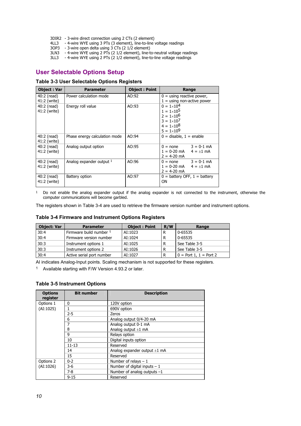- 3DIR2 3-wire direct connection using 2 CTs (2 element)
- 4LL3 4-wire WYE using 3 PTs (3 element), line-to-line voltage readings
- 3OP3 3-wire open delta using 3 CTs (2 1/2 element)
- 3LN3 4-wire WYE using 2 PTs (2 1/2 element), line-to-neutral voltage readings
- 3LL3 4-wire WYE using 2 PTs (2 1/2 element), line-to-line voltage readings

# <span id="page-9-0"></span>**User Selectable Options Setup**

# **Table 3-3 User Selectable Options Registers**

| <b>Object: Var</b>          | <b>Parameter</b>              | <b>Object: Point</b> | Range                                                                                                                                    |  |  |
|-----------------------------|-------------------------------|----------------------|------------------------------------------------------------------------------------------------------------------------------------------|--|--|
| 40:2 (read)<br>41:2 (write) | Power calculation mode        | AO:92                | $0 =$ using reactive power,<br>$1 =$ using non-active power                                                                              |  |  |
| 40:2 (read)<br>41:2 (write) | Energy roll value             | AO:93                | $0 = 1 \times 10^4$<br>$1 = 1 \times 10^5$<br>$2 = 1 \times 10^6$<br>$3 = 1 \times 10^{7}$<br>$4 = 1 \times 10^8$<br>$5 = 1 \times 10^9$ |  |  |
| 40:2 (read)<br>41:2 (write) | Phase energy calculation mode | AO:94                | $0 =$ disable, $1 =$ enable                                                                                                              |  |  |
| 40:2 (read)<br>41:2 (write) | Analog output option          | AO:95                | $0 = none$ $3 = 0-1$ mA<br>$1 = 0-20$ mA $4 = +1$ mA<br>$2 = 4-20$ mA                                                                    |  |  |
| 40:2 (read)<br>41:2 (write) | Analog expander output 1      | AO:96                | $0 = none$ $3 = 0.1$ mA<br>$1 = 0-20$ mA $4 = +1$ mA<br>$2 = 4-20$ mA                                                                    |  |  |
| 40:2 (read)<br>41:2 (write) | Battery option                | AO:97                | $0 =$ battery OFF, $1 =$ battery<br>ΟN                                                                                                   |  |  |

<sup>1</sup> Do not enable the analog expander output if the analog expander is not connected to the instrument, otherwise the computer communications will become garbled.

The registers shown in Table 3-4 are used to retrieve the firmware version number and instrument options.

# **Table 3-4 Firmware and Instrument Options Registers**

| <b>Object: Var</b> | <b>Parameter</b>          | <b>Object: Point</b> | R/W | Range                    |
|--------------------|---------------------------|----------------------|-----|--------------------------|
| 30:4               | Firmware build number 1   | AI:1023              | R   | 0-65535                  |
| 30:4               | Firmware version number   | AI:1024              | R   | 0-65535                  |
| 30:3               | Instrument options 1      | AI:1025              |     | See Table 3-5            |
| 30:3               | Instrument options 2      | AI:1026              | R   | See Table 3-5            |
| 30:4               | Active serial port number | AI:1027              | R   | $0 =$ Port 1, 1 = Port 2 |

AI indicates Analog-Input points. Scaling mechanism is not supported for these registers.

1 Available starting with F/W Version 4.93.2 or later.

## **Table 3-5 Instrument Options**

| <b>Options</b><br>register | <b>Bit number</b> | <b>Description</b>                |
|----------------------------|-------------------|-----------------------------------|
| Options 1                  | 0                 | 120V option                       |
| (AI:1025)                  | 1                 | 690V option                       |
|                            | $2 - 5$           | Zeros                             |
|                            | 6                 | Analog output 0/4-20 mA           |
|                            | 7                 | Analog output 0-1 mA              |
|                            | 8                 | Analog output $\pm 1$ mA          |
|                            | 9                 | Relays option                     |
|                            | 10                | Digital inputs option             |
|                            | $11 - 13$         | Reserved                          |
|                            | 14                | Analog expander output $\pm 1$ mA |
|                            | 15                | Reserved                          |
| $0 - 2$<br>Options 2       |                   | Number of relays $-1$             |
| (AI:1026)                  | 3-6               | Number of digital inputs $-1$     |
|                            | $7-8$             | Number of analog outputs $-1$     |
|                            | $9 - 15$          | Reserved                          |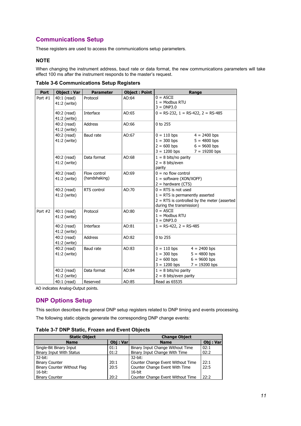# <span id="page-10-0"></span>**Communications Setup**

These registers are used to access the communications setup parameters.

# **NOTE**

When changing the instrument address, baud rate or data format, the new communications parameters will take effect 100 ms after the instrument responds to the master's request.

| <b>Port</b>                                         | <b>Object: Var</b>            | <b>Parameter</b>              | <b>Object: Point</b>                                                                                                                     | Range                                                                                                                                      |  |  |
|-----------------------------------------------------|-------------------------------|-------------------------------|------------------------------------------------------------------------------------------------------------------------------------------|--------------------------------------------------------------------------------------------------------------------------------------------|--|--|
| Port $#1$                                           | 40:1 (read)<br>41:2 (write)   | Protocol                      | AO:64                                                                                                                                    | $0 = ASCII$<br>$1 =$ Modbus RTU<br>$3 = DNP3.0$                                                                                            |  |  |
|                                                     | 40:2 (read)<br>41:2 (write)   | Interface                     | AO:65                                                                                                                                    | $0 = RS-232$ , $1 = RS-422$ , $2 = RS-485$                                                                                                 |  |  |
|                                                     | 40:2 (read)<br>41:2 (write)   | <b>Address</b>                | AO:66                                                                                                                                    | 0 to 255                                                                                                                                   |  |  |
|                                                     | 40:2 (read)<br>41:2 (write)   | Baud rate                     | AO:67                                                                                                                                    | $0 = 110$ bps<br>$4 = 2400$ bps<br>$1 = 300$ bps<br>$5 = 4800$ bps<br>$2 = 600 bps$<br>$6 = 9600$ bps<br>$3 = 1200$ bps<br>$7 = 19200$ bps |  |  |
|                                                     | 40:2 (read)<br>41:2 (write)   | Data format                   | AO:68                                                                                                                                    | $1 = 8$ bits/no parity<br>$2 = 8 \text{ bits/even}$<br>parity                                                                              |  |  |
|                                                     | 40:2 (read)<br>41:2 (write)   | Flow control<br>(handshaking) | AO:69                                                                                                                                    | $0 =$ no flow control<br>$1 = softmax(XON/XOFF)$<br>$2 =$ hardware (CTS)                                                                   |  |  |
| 40:2 (read)<br>RTS control<br>AO:70<br>41:2 (write) |                               |                               | $0 = RTS$ is not used<br>$1 =$ RTS is permanently asserted<br>$2 = RTS$ is controlled by the meter (asserted<br>during the transmission) |                                                                                                                                            |  |  |
| Port $#2$                                           | $40:1$ (read)<br>41:2 (write) | Protocol                      | AO:80                                                                                                                                    | $0 = ASCII$<br>$1 =$ Modbus RTU<br>$3 = DNP3.0$                                                                                            |  |  |
|                                                     | 40:2 (read)<br>41:2 (write)   | Interface                     | AO:81                                                                                                                                    | $1 = RS-422$ , $2 = RS-485$                                                                                                                |  |  |
|                                                     | 40:2 (read)<br>41:2 (write)   | <b>Address</b>                | AO:82                                                                                                                                    | 0 to 255                                                                                                                                   |  |  |
|                                                     | 40:2 (read)<br>41:2 (write)   | Baud rate                     | AO:83                                                                                                                                    | $0 = 110$ bps<br>$4 = 2400$ bps<br>$1 = 300$ bps<br>$5 = 4800$ bps<br>$2 = 600$ bps<br>$6 = 9600$ bps<br>$3 = 1200$ bps<br>$7 = 19200$ bps |  |  |
|                                                     | 40:2 (read)<br>41:2 (write)   | Data format                   | AO:84                                                                                                                                    | $1 = 8$ bits/no parity<br>$2 = 8$ bits/even parity                                                                                         |  |  |
|                                                     | 40:1 (read)                   | Reserved                      | AO:85                                                                                                                                    | Read as 65535                                                                                                                              |  |  |

AO indicates Analog-Output points.

# <span id="page-10-1"></span>**DNP Options Setup**

This section describes the general DNP setup registers related to DNP timing and events processing.

The following static objects generate the corresponding DNP change events:

| Table 3-7 DNP Static, Frozen and Event Objects |  |  |
|------------------------------------------------|--|--|
|                                                |  |  |

| <b>Static Object</b>               |          | <b>Change Object</b>              |          |  |
|------------------------------------|----------|-----------------------------------|----------|--|
| <b>Name</b>                        | Obj: Var | <b>Name</b>                       | Obj: Var |  |
| Single-Bit Binary Input            | 01:1     | Binary Input Change Without Time  | 02:1     |  |
| <b>Binary Input With Status</b>    | 01:2     | Binary Input Change With Time     | 02:2     |  |
| $32$ -bit:                         |          | $32$ -hit:                        |          |  |
| <b>Binary Counter</b>              | 20:1     | Counter Change Event Without Time | 22:1     |  |
| <b>Binary Counter Without Flag</b> | 20:5     | Counter Change Event With Time    | 22:5     |  |
| $16$ -bit:                         |          | $16$ -bit                         |          |  |
| <b>Binary Counter</b>              | 20:2     | Counter Change Event Without Time | 22:2     |  |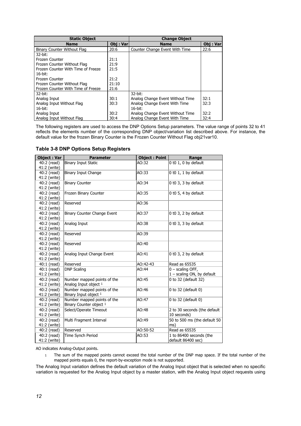| <b>Static Object</b>               |          | <b>Change Object</b>             |          |  |
|------------------------------------|----------|----------------------------------|----------|--|
| <b>Name</b>                        | Obj: Var | <b>Name</b>                      | Obj: Var |  |
| Binary Counter Without Flag        | 20:6     | Counter Change Event With Time   | 22:6     |  |
| 32-bit:                            |          |                                  |          |  |
| Frozen Counter                     | 21:1     |                                  |          |  |
| Frozen Counter Without Flag        | 21:9     |                                  |          |  |
| Frozen Counter With Time of Freeze | 21:5     |                                  |          |  |
| $16$ -bit:                         |          |                                  |          |  |
| Frozen Counter                     | 21:2     |                                  |          |  |
| Frozen Counter Without Flag        | 21:10    |                                  |          |  |
| Frozen Counter With Time of Freeze | 21:6     |                                  |          |  |
| $32$ -bit:                         |          | 32-bit:                          |          |  |
| Analog Input                       | 30:1     | Analog Change Event Without Time | 32:1     |  |
| Analog Input Without Flag          | 30:3     | Analog Change Event With Time    | 32:3     |  |
| $16$ -bit:                         |          | 16-bit:                          |          |  |
| Analog Input                       | 30:2     | Analog Change Event Without Time | 32:2     |  |
| Analog Input Without Flag          | 30:4     | Analog Change Event With Time    | 32:4     |  |

The following registers are used to access the DNP Options Setup parameters. The value range of points 32 to 41 reflects the elements number of the corresponding DNP object/variation list described above. For instance, the default value for the frozen Binary Counter is the Frozen Counter Without Flag obj21var10.

| <b>Object: Var</b>          | <b>Parameter</b>            | <b>Object: Point</b> | Range                        |
|-----------------------------|-----------------------------|----------------------|------------------------------|
| 40:2 (read)                 | <b>Binary Input Static</b>  | AO:32                | 0 t0 1, 0 by default         |
| 41:2 (write)                |                             |                      |                              |
| 40:2 (read)                 | Binary Input Change         | AO:33                | 0 t0 1, 1 by default         |
| 41:2 (write)                |                             |                      |                              |
| 40:2 (read)                 | <b>Binary Counter</b>       | AO:34                | 0 t0 3, 3 by default         |
| 41:2 (write)                |                             |                      |                              |
| 40:2 (read)                 | Frozen Binary Counter       | AO:35                | 0 t0 5, 4 by default         |
| 41:2 (write)                |                             |                      |                              |
| 40:2 (read)                 | Reserved                    | AO:36                |                              |
| 41:2 (write)                |                             |                      |                              |
| 40:2 (read)<br>41:2 (write) | Binary Counter Change Event | AO:37                | 0 t0 3, 2 by default         |
| 40:2 (read)                 | Analog Input                | AO:38                | 0 t0 3, 3 by default         |
| 41:2 (write)                |                             |                      |                              |
| 40:2 (read)                 | Reserved                    | AO:39                |                              |
| 41:2 (write)                |                             |                      |                              |
| 40:2 (read)                 | Reserved                    | AO:40                |                              |
| 41:2 (write)                |                             |                      |                              |
| 40:2 (read)                 | Analog Input Change Event   | AO:41                | 0 t0 3, 2 by default         |
| 41:2 (write)                |                             |                      |                              |
| 40:1 (read)                 | Reserved                    | AO:42-43             | Read as 65535                |
| 40:1 (read)                 | <b>DNP Scaling</b>          | AO:44                | $0$ – scaling OFF,           |
| 41:2 (write)                |                             |                      | 1 - scaling ON, by default   |
| 40:2 (read)                 | Number mapped points of the | AO:45                | 0 to 32 (default 32)         |
| 41:2 (write)                | Analog Input object 1       |                      |                              |
| 40:2 (read)                 | Number mapped points of the | AO:46                | 0 to 32 (default 0)          |
| 41:2 (write)                | Binary Input object 1       |                      |                              |
| 40:2 (read)                 | Number mapped points of the | AO:47                | 0 to 32 (default 0)          |
| 41:2 (write)                | Binary Counter object 1     |                      |                              |
| 40:2 (read)                 | Select/Operate Timeout      | AO:48                | 2 to 30 seconds (the default |
| 41:2 (write)                |                             |                      | 10 seconds)                  |
| 40:2 (read)                 | Multi Fragment Interval     | AO:49                | 50 to 500 ms (the default 50 |
| 41:2 (write)                |                             |                      | ms)                          |
| 40:2 (read)                 | Reserved                    | AO:50-52             | Read as 65535                |
| 40:2 (read)                 | Time Synch Period           | AO:53                | 1 to 86400 seconds (the      |
| 41:2 (write)                |                             |                      | default 86400 sec)           |

# **Table 3-8 DNP Options Setup Registers**

AO indicates Analog-Output points.

1 The sum of the mapped points cannot exceed the total number of the DNP map space. If the total number of the mapped points equals 0, the report-by-exception mode is not supported.

The Analog Input variation defines the default variation of the Analog Input object that is selected when no specific variation is requested for the Analog Input object by a master station, with the Analog Input object requests using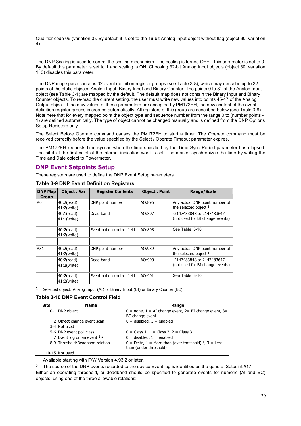Qualifier code 06 (variation 0). By default it is set to the 16-bit Analog Input object without flag (object 30, variation 4).

The DNP Scaling is used to control the scaling mechanism. The scaling is turned OFF if this parameter is set to 0. By default this parameter is set to 1 and scaling is ON. Choosing 32-bit Analog Input objects (object 30, variation 1, 3) disables this parameter.

The DNP map space contains 32 event definition register groups (see Table 3-8), which may describe up to 32 points of the static objects: Analog Input, Binary Input and Binary Counter. The points 0 to 31 of the Analog Input object (see Table 3-1) are mapped by the default. The default map does not contain the Binary Input and Binary Counter objects. To re-map the current setting, the user must write new values into points 45-47 of the Analog Output object. If the new values of these parameters are accepted by PM172EH, the new content of the event definition register groups is created automatically. All registers of this group are described below (see Table 3-8). Note here that for every mapped point the object type and sequence number from the range 0 to (number points - 1) are defined automatically. The type of object cannot be changed manually and is defined from the DNP Options Setup Registers only.

The Select Before Operate command causes the PM172EH to start a timer. The Operate command must be received correctly before the value specified by the Select / Operate Timeout parameter expires.

The PM172EH requests time synchs when the time specified by the Time Sync Period parameter has elapsed. The bit 4 of the first octet of the internal indication word is set. The master synchronizes the time by writing the Time and Date object to Powermeter.

# <span id="page-12-0"></span>**DNP Event Setpoints Setup**

These registers are used to define the DNP Event Setup parameters.

| <b>DNP Map</b><br>Group | <b>Object: Var</b>              | <b>Register Contents</b>   | <b>Object: Point</b> | <b>Range/Scale</b>                                           |
|-------------------------|---------------------------------|----------------------------|----------------------|--------------------------------------------------------------|
| #0                      | $40:2$ (read)<br>41:2(write)    | DNP point number           | AO:896               | Any actual DNP point number of<br>the selected object 1      |
|                         | $40:1$ (read)<br>$41:1$ (write) | Dead band                  | AO:897               | -2147483848 to 2147483647<br>(not used for BI change events) |
|                         | $40:2$ (read)<br>41:2(write)    | Event option control field | AO:898               | See Table 3-10                                               |
|                         | .                               |                            |                      | $\cdots$                                                     |
| #31                     | 40:2(read)<br>41:2(write)       | DNP point number           | AO:989               | Any actual DNP point number of<br>the selected object 1      |
|                         | 40:2(read)<br>41:2(write)       | Dead band                  | AO:990               | -2147483848 to 2147483647<br>(not used for BI change events) |
|                         | 40:2(read)<br>41:2(write)       | Event option control field | AO:991               | See Table 3-10                                               |

**Table 3-9 DNP Event Definition Registers** 

<sup>1</sup> Selected object: Analog Input (AI) or Binary Input (BI) or Binary Counter (BC)

# **Table 3-10 DNP Event Control Field**

| <b>Bits</b> | <b>Name</b>                     | Range                                                                              |
|-------------|---------------------------------|------------------------------------------------------------------------------------|
|             | 0-1 DNP object                  | $0 =$ none, $1 = AI$ change event, $2 = BI$ change event, $3 =$<br>BC change event |
|             | 2 Object change event scan      | $0 =$ disabled, $1 =$ enabled                                                      |
|             | 3-4 Not used                    |                                                                                    |
|             | 5-6 DNP event poll class        | $0 = Class 1, 1 = Class 2, 2 = Class 3$                                            |
|             | 7 Event log on an event $1,2$   | $0 =$ disabled, $1 =$ enabled                                                      |
|             | 8-9 Threshold/Deadband relation | $0 =$ Delta, 1 = More than (over threshold) $1, 3 =$ Less                          |
|             |                                 | than (under threshold) $1$                                                         |
|             | 10-15 Not used                  |                                                                                    |

1 Available starting with F/W Version 4.93.2 or later.

2 The source of the DNP events recorded to the device Event log is identified as the general Setpoint #17. Either an operating threshold, or deadband should be specified to generate events for numeric (AI and BC) objects, using one of the three allowable relations: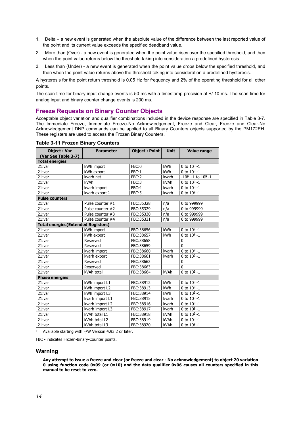- 1. Delta a new event is generated when the absolute value of the difference between the last reported value of the point and its current value exceeds the specified deadband value.
- 2. More than (Over) a new event is generated when the point value rises over the specified threshold, and then when the point value returns below the threshold taking into consideration a predefined hysteresis.
- 3. Less than (Under) a new event is generated when the point value drops below the specified threshold, and then when the point value returns above the threshold taking into consideration a predefined hysteresis.

A hysteresis for the point return threshold is 0.05 Hz for frequency and 2% of the operating threshold for all other points.

The scan time for binary input change events is 50 ms with a timestamp precision at +/-10 ms. The scan time for analog input and binary counter change events is 200 ms.

# <span id="page-13-0"></span>**Freeze Requests on Binary Counter Objects**

Acceptable object variation and qualifier combinations included in the device response are specified in Table 3-7. The Immediate Freeze, Immediate Freeze-No Acknowledgement, Freeze and Clear, Freeze and Clear-No Acknowledgement DNP commands can be applied to all Binary Counters objects supported by the PM172EH. These registers are used to access the Frozen Binary Counters.

| <b>Object: Var</b>                         | <b>Parameter</b>   | Object: Point | <b>Unit</b> | <b>Value range</b>        |
|--------------------------------------------|--------------------|---------------|-------------|---------------------------|
| (Var See Table 3-7)                        |                    |               |             |                           |
| <b>Total energies</b>                      |                    |               |             |                           |
| 21:var                                     | kWh import         | FBC:0         | kWh         | 0 to $10^9 - 1$           |
| 21:var                                     | kWh export         | FBC:1         | kWh         | 0 to $10^9 - 1$           |
| 21:var                                     | kvarh net          | FBC:2         | kvarh       | $-10^9 + 1$ to $10^9 - 1$ |
| 21:var                                     | kVAh               | FBC:3         | kVAh        | 0 to $10^9 - 1$           |
| 21:var                                     | kvarh import 1     | FBC:4         | kvarh       | 0 to $10^9 - 1$           |
| 21:var                                     | kvarh export 1     | FBC:5         | kvarh       | 0 to $10^9 - 1$           |
| <b>Pulse counters</b>                      |                    |               |             |                           |
| 21:var                                     | Pulse counter $#1$ | FBC:35328     | n/a         | 0 to 999999               |
| 21:var                                     | Pulse counter #2   | FBC:35329     | n/a         | 0 to 999999               |
| 21:var                                     | Pulse counter #3   | FBC:35330     | n/a         | 0 to 999999               |
| 21:var                                     | Pulse counter #4   | FBC:35331     | n/a         | 0 to 999999               |
| <b>Total energies (Extended Registers)</b> |                    |               |             |                           |
| 21:var                                     | kWh import         | FBC:38656     | kWh         | 0 to $10^9 - 1$           |
| 21:var                                     | kWh export         | FBC:38657     | kWh         | 0 to $10^9 - 1$           |
| 21:var                                     | Reserved           | FBC:38658     |             | 0                         |
| 21:var                                     | Reserved           | FBC:38659     |             | $\Omega$                  |
| 21:var                                     | kvarh import       | FBC:38660     | kvarh       | 0 to $10^9 - 1$           |
| 21:var                                     | kvarh export       | FBC:38661     | kvarh       | 0 to $10^9 - 1$           |
| 21:var                                     | Reserved           | FBC:38662     |             | $\mathbf 0$               |
| 21:var                                     | Reserved           | FBC:38663     |             | $\mathbf{0}$              |
| 21:var                                     | kVAh total         | FBC:38664     | kVAh        | 0 to $10^9 - 1$           |
| <b>Phase energies</b>                      |                    |               |             |                           |
| 21:var                                     | kWh import L1      | FBC:38912     | kWh         | 0 to $10^9 - 1$           |
| 21:var                                     | kWh import L2      | FBC:38913     | kWh         | 0 to $10^9 - 1$           |
| 21:var                                     | kWh import L3      | FBC:38914     | kWh         | 0 to $10^9 - 1$           |
| 21:var                                     | kvarh import L1    | FBC:38915     | kvarh       | 0 to $10^9 - 1$           |
| 21:var                                     | kvarh import L2    | FBC:38916     | kvarh       | 0 to $10^9 - 1$           |
| 21:var                                     | kvarh import L3    | FBC:38917     | kvarh       | 0 to $10^9 - 1$           |
| 21:var                                     | kVAh total L1      | FBC:38918     | kVAh        | 0 to $10^9 - 1$           |
| 21:var                                     | kVAh total L2      | FBC:38919     | kVAh        | 0 to $10^9 - 1$           |
| 21:var                                     | kVAh total L3      | FBC:38920     | kVAh        | 0 to $10^9 - 1$           |

**Table 3-11 Frozen Binary Counters** 

1 Available starting with F/W Version 4.93.2 or later.

FBC - indicates Frozen-Binary-Counter points.

## **Warning**

**Any attempt to issue a freeze and clear (or freeze and clear - No acknowledgement) to object 20 variation 0 using function code 0x09 (or 0x10) and the data qualifier 0x06 causes all counters specified in this manual to be reset to zero.**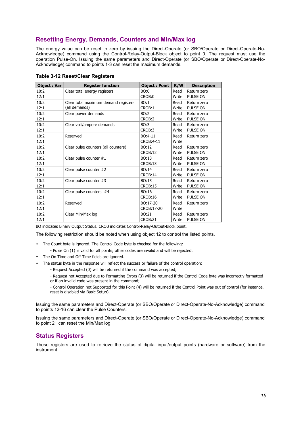# <span id="page-14-0"></span>**Resetting Energy, Demands, Counters and Min/Max log**

The energy value can be reset to zero by issuing the Direct-Operate (or SBO/Operate or Direct-Operate-No-Acknowledge) command using the Control-Relay-Output-Block object to point 0. The request must use the operation Pulse-On. Issuing the same parameters and Direct-Operate (or SBO/Operate or Direct-Operate-No-Acknowledge) command to points 1-3 can reset the maximum demands.

| <b>Object: Var</b> | <b>Register function</b>             | <b>Object: Point</b> | R/W   | <b>Description</b> |
|--------------------|--------------------------------------|----------------------|-------|--------------------|
| 10:2               | Clear total energy registers         | BO:0                 | Read  | Return zero        |
| 12:1               |                                      | CROB:0               | Write | PULSE ON           |
| 10:2               | Clear total maximum demand registers | BO:1                 | Read  | Return zero        |
| 12:1               | (all demands)                        | CROB:1               | Write | PULSE ON           |
| 10:2               | Clear power demands                  | BO:2                 | Read  | Return zero        |
| 12:1               |                                      | CROB:2               | Write | PULSE ON           |
| 10:2               | Clear volt/ampere demands            | BO:3                 | Read  | Return zero        |
| 12:1               |                                      | CROB:3               | Write | PULSE ON           |
| 10:2               | Reserved                             | BO:4-11              | Read  | Return zero        |
| 12:1               |                                      | CROB:4-11            | Write |                    |
| 10:2               | Clear pulse counters (all counters)  | BO:12                | Read  | Return zero        |
| 12:1               |                                      | <b>CROB:12</b>       | Write | PULSE ON           |
| 10:2               | Clear pulse counter $#1$             | BO:13                | Read  | Return zero        |
| 12:1               |                                      | CROB:13              | Write | PULSE ON           |
| 10:2               | Clear pulse counter $#2$             | BO:14                | Read  | Return zero        |
| 12:1               |                                      | CROB:14              | Write | PULSE ON           |
| 10:2               | Clear pulse counter #3               | BO:15                | Read  | Return zero        |
| 12:1               |                                      | CROB:15              | Write | PULSE ON           |
| 10:2               | Clear pulse counters $#4$            | BO:16                | Read  | Return zero        |
| 12:1               |                                      | CROB:16              | Write | <b>PULSE ON</b>    |
| 10:2               | Reserved                             | BO:17-20             | Read  | Return zero        |
| 12:1               |                                      | CROB:17-20           | Write |                    |
| 10:2               | Clear Min/Max log                    | BO:21                | Read  | Return zero        |
| 12:1               |                                      | CROB:21              | Write | PULSE ON           |

### **Table 3-12 Reset/Clear Registers**

BO indicates Binary Output Status. CROB indicates Control-Relay-Output-Block point.

The following restriction should be noted when using object 12 to control the listed points.

- The Count byte is ignored. The Control Code byte is checked for the following:
	- Pulse On (1) is valid for all points; other codes are invalid and will be rejected.
- The On Time and Off Time fields are ignored.
	- The status byte in the response will reflect the success or failure of the control operation:
		- Request Accepted (0) will be returned if the command was accepted;
		- Request not Accepted due to Formatting Errors (3) will be returned if the Control Code byte was incorrectly formatted or if an invalid code was present in the command;

- Control Operation not Supported for this Point (4) will be returned if the Control Point was out of control (for instance, reset is disabled via Basic Setup).

Issuing the same parameters and Direct-Operate (or SBO/Operate or Direct-Operate-No-Acknowledge) command to points 12-16 can clear the Pulse Counters.

Issuing the same parameters and Direct-Operate (or SBO/Operate or Direct-Operate-No-Acknowledge) command to point 21 can reset the Min/Max log.

# <span id="page-14-1"></span>**Status Registers**

These registers are used to retrieve the status of digital input/output points (hardware or software) from the instrument.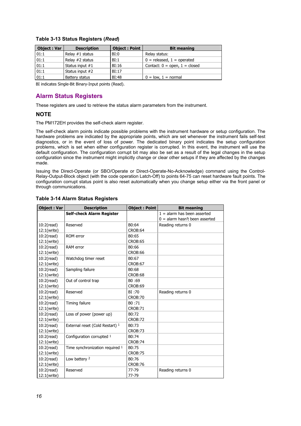| <b>Object: Var</b> | <b>Description</b> | <b>Object: Point</b> | <b>Bit meaning</b>                |
|--------------------|--------------------|----------------------|-----------------------------------|
| 01:1               | Relay #1 status    | BI:0                 | Relay status:                     |
| 01:1               | Relay #2 status    | BI:1                 | $0 =$ released, $1 =$ operated    |
| 01:1               | Status input #1    | BI:16                | Contact: $0 =$ open, $1 =$ closed |
| 01:1               | Status input #2    | BI:17                |                                   |
| 01:1               | Battery status     | BI:48                | $0 = low, 1 = normal$             |

### **Table 3-13 Status Registers (***Read***)**

BI indicates Single-Bit Binary-Input points (Read).

# <span id="page-15-0"></span>**Alarm Status Registers**

These registers are used to retrieve the status alarm parameters from the instrument.

## **NOTE**

The PM172EH provides the self-check alarm register.

The self-check alarm points indicate possible problems with the instrument hardware or setup configuration. The hardware problems are indicated by the appropriate points, which are set whenever the instrument fails self-test diagnostics, or in the event of loss of power. The dedicated binary point indicates the setup configuration problems, which is set when either configuration register is corrupted. In this event, the instrument will use the default configuration. The configuration corrupt bit may also be set as a result of the legal changes in the setup configuration since the instrument might implicitly change or clear other setups if they are affected by the changes made.

Issuing the Direct-Operate (or SBO/Operate or Direct-Operate-No-Acknowledge) command using the Control-Relay-Output-Block object (with the code operation Latch-Off) to points 64-75 can reset hardware fault points. The configuration corrupt status point is also reset automatically when you change setup either via the front panel or through communications.

#### **Object : Var Description Object : Point Bit meaning**<br>**Self-check Alarm Register Description Bilom** 1 = alarm has been asserted **Self-check Alarm Register**  $0 =$  alarm hasn't been asserted 10:2(read) 12:1(write) Reserved B0:64 CROB:64 Reading returns 0 10:2(read) 12:1(write) ROM error B0:65 CROB:65 10:2(read) 12:1(write) RAM error B0:66 CROB:66 10:2(read) 12:1(write) Watchdog timer reset | B0:67 CROB:67 10:2(read) 12:1(write) Sampling failure B0:68 CROB:68  $10:2$ (read) 12:1(write) Out of control trap 80 :69 CROB:69 10:2(read) 12:1(write) Reserved BI:70 CROB:70 Reading returns 0 10:2(read) 12:1(write) Timing failure B0 :71 CROB:71 10:2(read) 12:1(write) Loss of power (power up)  $\vert$ B0:72 CROB:72 10:2(read) 12:1(write) External reset (Cold Restart)  $1 \quad |B0:73\rangle$ CROB:73 10:2(read) 12:1(write) Configuration corrupted  $1$  B0:74 CROB:74 10:2(read) 12:1(write) Time synchronization required  $1$  B0:75 CROB:75 10:2(read) 12:1(write) Low battery  $2 \qquad \qquad \text{B0:76}$ CROB:76<br>77-79 10:2(read) 12:1(write) Reserved 77-79 Reading returns 0

# **Table 3-14 Alarm Status Registers**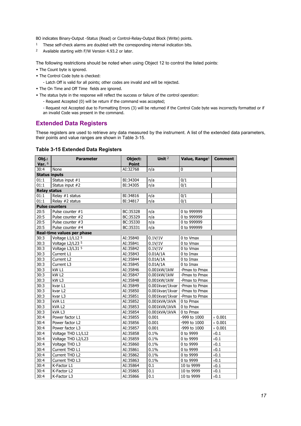BO indicates Binary-Output -Status (Read) or Control-Relay-Output Block (Write) points.

- 1 These self-check alarms are doubled with the corresponding internal indication bits.
- 2 Available starting with F/W Version 4.93.2 or later.

The following restrictions should be noted when using Object 12 to control the listed points:

- The Count byte is ignored.
- The Control Code byte is checked:
	- Latch Off is valid for all points; other codes are invalid and will be rejected.
- The On Time and Off Time fields are ignored.
- The status byte in the response will reflect the success or failure of the control operation:
	- Request Accepted (0) will be return if the command was accepted;
	- Request not Accepted due to Formatting Errors (3) will be returned if the Control Code byte was incorrectly formatted or if an invalid Code was present in the command.

# <span id="page-16-0"></span>**Extended Data Registers**

These registers are used to retrieve any data measured by the instrument. A list of the extended data parameters, their points and value ranges are shown in Table 3-15.

# **Table 3-15 Extended Data Registers**

| $Obj.$ :             | <b>Parameter</b>           | Object:      | Unit <sup>2</sup>                | Value, Range <sup>1</sup> | <b>Comment</b> |
|----------------------|----------------------------|--------------|----------------------------------|---------------------------|----------------|
| Var. $6$             |                            | <b>Point</b> |                                  |                           |                |
| 30:4                 | None                       | AI:32768     | n/a                              | $\pmb{0}$                 |                |
| <b>Status inputs</b> |                            |              |                                  |                           |                |
| 01:1                 | Status input #1            | BI:34304     | n/a                              | 0/1                       |                |
| 01:1                 | Status input #2            | BI:34305     | n/a                              | 0/1                       |                |
| <b>Relay status</b>  |                            |              |                                  |                           |                |
| 01:1                 | Relay #1 status            | BI:34816     | n/a                              | 0/1                       |                |
| 01:1                 | Relay #2 status            | BI:34817     | n/a                              | 0/1                       |                |
|                      | <b>Pulse counters</b>      |              |                                  |                           |                |
| 20:5                 | Pulse counter #1           | BC:35328     | n/a                              | 0 to 999999               |                |
| 20:5                 | Pulse counter #2           | BC:35329     | n/a                              | 0 to 999999               |                |
| 20:5                 | Pulse counter #3           | BC:35330     | n/a                              | 0 to 999999               |                |
| 20:5                 | Pulse counter #4           | BC:35331     | n/a                              | 0 to 999999               |                |
|                      | Real-time values per phase |              |                                  |                           |                |
| 30:3                 | Voltage L1/L12 5           | AI:35840     | 0.1V/1V                          | 0 to Vmax                 |                |
| 30:3                 | Voltage L2/L23 5           | AI:35841     | 0.1V/1V                          | 0 to Vmax                 |                |
| 30:3                 | Voltage L3/L31 5           | AI:35842     | 0.1V/1V                          | 0 to Vmax                 |                |
| 30:3                 | Current L1                 | AI:35843     | 0.01A/1A                         | 0 to Imax                 |                |
| 30:3                 | Current L <sub>2</sub>     | AI:35844     | 0.01A/1A                         | 0 to Imax                 |                |
| 30:3                 | Current L3                 | AI:35845     | 0.01A/1A                         | 0 to Imax                 |                |
| 30:3                 | kW <sub>L1</sub>           | AI:35846     | 0.001kW/1kW                      | -Pmax to Pmax             |                |
| 30:3                 | kW <sub>L2</sub>           | AI:35847     | 0.001kW/1kW                      | -Pmax to Pmax             |                |
| 30:3                 | kW <sub>L3</sub>           | AI:35848     | 0.001kW/1kW                      | -Pmax to Pmax             |                |
| 30:3                 | kvar L1                    | AI:35849     | 0.001kvar/1kvar - Pmax to Pmax   |                           |                |
| 30:3                 | kvar L2                    | AI:35850     | 0.001kvar/1kvar   - Pmax to Pmax |                           |                |
| 30:3                 | kvar L3                    | AI:35851     | 0.001kvar/1kvar - Pmax to Pmax   |                           |                |
| 30:3                 | kVA L1                     | AI:35852     | 0.001kVA/1kVA                    | 0 to Pmax                 |                |
| 30:3                 | kVA <sub>L2</sub>          | AI:35853     | 0.001kVA/1kVA                    | 0 to Pmax                 |                |
| 30:3                 | kVA <sub>L3</sub>          | AI:35854     | 0.001kVA/1kVA                    | 0 to Pmax                 |                |
| 30:4                 | Power factor L1            | AI:35855     | 0.001                            | -999 to 1000              | $\times$ 0.001 |
| 30:4                 | Power factor L2            | AI:35856     | 0.001                            | -999 to 1000              | $\times$ 0.001 |
| 30:4                 | Power factor L3            | AI:35857     | 0.001                            | -999 to 1000              | $\times$ 0.001 |
| 30:4                 | Voltage THD L1/L12         | AI:35858     | 0.1%                             | 0 to 9999                 | $\times 0.1$   |
| 30:4                 | Voltage THD L2/L23         | AI:35859     | 0.1%                             | 0 to 9999                 | $\times 0.1$   |
| 30:4                 | Voltage THD L3             | AI:35860     | 0.1%                             | 0 to 9999                 | $\times 0.1$   |
| 30:4                 | Current THD L1             | AI:35861     | 0.1%                             | 0 to 9999                 | $\times 0.1$   |
| 30:4                 | Current THD L2             | AI:35862     | 0.1%                             | 0 to 9999                 | $\times 0.1$   |
| 30:4                 | Current THD L3             | AI:35863     | 0.1%                             | 0 to 9999                 | $\times 0.1$   |
| 30:4                 | K-Factor L1                | AI:35864     | 0.1                              | 10 to 9999                | $\times 0.1$   |
| 30:4                 | K-Factor L2                | AI:35865     | 0.1                              | 10 to 9999                | $\times 0.1$   |
| 30:4                 | K-Factor L3                | AI:35866     | 0.1                              | 10 to 9999                | $\times 0.1$   |
|                      |                            |              |                                  |                           |                |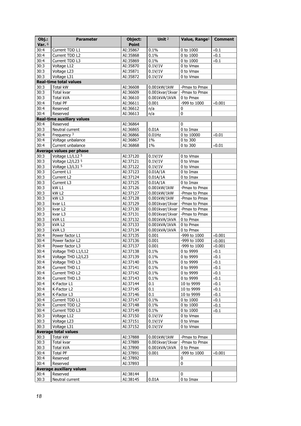| Obj.:        | <b>Parameter</b>                     | Object:              | Unit <sup>2</sup>               | Value, Range <sup>1</sup>      | <b>Comment</b> |
|--------------|--------------------------------------|----------------------|---------------------------------|--------------------------------|----------------|
| Var. $6$     |                                      | <b>Point</b>         |                                 |                                |                |
| 30:4         | Current TDD L1                       | AI:35867             | 0.1%                            | 0 to 1000                      | $\times 0.1$   |
| 30:4         | Current TDD L2                       | AI:35868             | 0.1%                            | 0 to 1000                      | $\times 0.1$   |
| 30:4         | Current TDD L3                       | AI:35869             | 0.1%                            | 0 to 1000                      | $\times 0.1$   |
| 30:3         | Voltage L12                          | AI:35870             | 0.1V/1V                         | 0 to Vmax                      |                |
| 30:3         | Voltage L23                          | AI:35871             | 0.1V/1V                         | 0 to Vmax                      |                |
| 30:3         | Voltage L31                          | AI:35872             | 0.1V/1V                         | 0 to Vmax                      |                |
|              | <b>Real-time total values</b>        |                      |                                 |                                |                |
| 30:3         | Total kW                             | AI:36608             | 0.001kW/1kW                     | -Pmax to Pmax                  |                |
| 30:3         | <b>Total kvar</b>                    | AI:36609             | 0.001kvar/1kvar                 | -Pmax to Pmax                  |                |
| 30:3         | Total kVA                            | AI:36610             | 0.001kVA/1kVA                   | 0 to Pmax                      |                |
| 30:4         | <b>Total PF</b>                      | AI:36611             | 0.001                           | -999 to 1000                   | $\times$ 0.001 |
| 30:4         | Reserved                             | AI:36612             | n/a                             | 0                              |                |
| 30:4         | Reserved                             | AI:36613             | n/a                             | 0                              |                |
|              | <b>Real-time auxiliary values</b>    |                      |                                 |                                |                |
| 30:4         | Reserved                             | AI:36864             |                                 | 0                              |                |
| 30:3         | Neutral current                      | AI:36865             | 0.01A                           | 0 to Imax                      |                |
| 30:4         | Frequency <sup>3</sup>               | AI:36866             | $0.01$ Hz                       | 0 to 10000                     | $\times 0.01$  |
| 30:4         | Voltage unbalance                    | AI:36867             | 1%                              | 0 to 300                       |                |
| 30:4         | Current unbalance                    | AI:36868             | 1%                              | 0 to 300                       | $\times 0.01$  |
|              | Average values per phase             |                      |                                 |                                |                |
| 30:3         | Voltage L1/L12 5                     | AI:37120             | 0.1V/1V                         | 0 to Vmax                      |                |
| 30:3         | Voltage L2/L23 5                     | AI:37121             | 0.1V/1V                         | 0 to Vmax                      |                |
| 30:3         | Voltage L3/L31 5                     | AI:37122             | 0.1V/1V                         | 0 to Vmax                      |                |
| 30:3         | Current L1                           | AI:37123             | 0.01A/1A                        | 0 to Imax                      |                |
| 30:3         | Current L2                           | AI:37124             | 0.01A/1A                        | 0 to Imax                      |                |
| 30:3         | Current L3                           | AI:37125             | 0.01A/1A                        | 0 to Imax                      |                |
| 30:3<br>30:3 | kW <sub>L1</sub><br>kW <sub>L2</sub> | AI:37126             | 0.001kW/1kW                     | -Pmax to Pmax                  |                |
| 30:3         | kW <sub>L3</sub>                     | AI:37127<br>AI:37128 | 0.001kW/1kW<br>0.001kW/1kW      | -Pmax to Pmax<br>-Pmax to Pmax |                |
| 30:3         | kvar L1                              | AI:37129             | 0.001kvar/1kvar - Pmax to Pmax  |                                |                |
| 30:3         | kvar L2                              | AI:37130             | 0.001kvar/1kvar - Pmax to Pmax  |                                |                |
| 30:3         | kvar L3                              | AI:37131             | 0.001kvar/1kvar   -Pmax to Pmax |                                |                |
| 30:3         | kVA L1                               | AI:37132             | 0.001kVA/1kVA                   | 0 to Pmax                      |                |
| 30:3         | kVA L2                               | AI:37133             | 0.001kVA/1kVA                   | 0 to Pmax                      |                |
| 30:3         | kVA L3                               | AI:37134             | 0.001kVA/1kVA                   | 0 to Pmax                      |                |
| 30:4         | Power factor L1                      | AI:37135             | 0.001                           | -999 to 1000                   | $\times 0.001$ |
| 30:4         | Power factor L2                      | AI:37136             | 0.001                           | -999 to 1000                   | $\times 0.001$ |
| 30:4         | Power factor L3                      | AI:37137             | 0.001                           | -999 to 1000                   | $\times 0.001$ |
| 30:4         | Voltage THD L1/L12                   | AI:37138             | 0.1%                            | 0 to 9999                      | $\times 0.1$   |
| 30:4         | Voltage THD L2/L23                   | AI:37139             | 0.1%                            | 0 to 9999                      | $\times 0.1$   |
| 30:4         | Voltage THD L3                       | AI:37140             | 0.1%                            | 0 to 9999                      | $\times 0.1$   |
| 30:4         | Current THD L1                       | AI:37141             | 0.1%                            | 0 to 9999                      | $\times 0.1$   |
| 30:4         | Current THD L2                       | AI:37142             | 0.1%                            | 0 to 9999                      | $\times 0.1$   |
| 30:4         | Current THD L3                       | AI:37143             | 0.1%                            | 0 to 9999                      | $\times 0.1$   |
| 30:4         | K-Factor L1                          | AI:37144             | 0.1                             | 10 to 9999                     | $\times 0.1$   |
| 30:4         | K-Factor L2                          | AI:37145             | 0.1                             | 10 to 9999                     | $\times 0.1$   |
| 30:4         | K-Factor L3                          | AI:37146             | 0.1                             | 10 to 9999                     | $\times 0.1$   |
| 30:4         | Current TDD L1                       | AI:37147             | 0.1%                            | $0$ to $1000\,$                | $\times 0.1$   |
| 30:4         | Current TDD L2                       | AI:37148             | 0.1%                            | 0 to 1000                      | $\times 0.1$   |
| 30:4         | Current TDD L3                       | AI:37149             | 0.1%                            | 0 to 1000                      | $\times 0.1$   |
| 30:3         | Voltage L12                          | AI:37150             | 0.1V/1V                         | 0 to Vmax                      |                |
| 30:3         | Voltage L23                          | AI:37151             | 0.1V/1V                         | 0 to Vmax                      |                |
| 30:3         | Voltage L31                          | AI:37152             | 0.1V/1V                         | 0 to Vmax                      |                |
|              | <b>Average total values</b>          |                      |                                 |                                |                |
| 30:3         | Total kW                             | AI:37888             | 0.001kW/1kW                     | -Pmax to Pmax                  |                |
| 30:3         | Total kvar                           | AI:37889             | 0.001kvar/1kvar                 | -Pmax to Pmax                  |                |
| 30:3         | Total kVA                            | AI:37890             | 0.001kVA/1kVA                   | 0 to Pmax                      |                |
| 30:4         | <b>Total PF</b>                      | AI:37891             | 0.001                           | -999 to 1000                   | $\times$ 0.001 |
| 30:4         | Reserved                             | AI:37892             |                                 | 0                              |                |
| 30:4         | Reserved                             | AI:37893             |                                 | 0                              |                |
|              | <b>Average auxiliary values</b>      |                      |                                 |                                |                |
| 30:4         | Reserved                             | AI:38144             |                                 | 0                              |                |
| 30:3         | Neutral current                      | AI:38145             | 0.01A                           | 0 to Imax                      |                |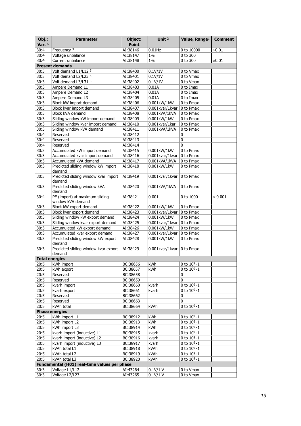| Obj.:    | <b>Parameter</b>                                    | Object:      | Unit <sup>2</sup> | Value, Range <sup>1</sup> | <b>Comment</b> |
|----------|-----------------------------------------------------|--------------|-------------------|---------------------------|----------------|
| Var. $6$ |                                                     | <b>Point</b> |                   |                           |                |
| 30:4     | Frequency $3$                                       | AI:38146     | $0.01$ Hz         | 0 to 10000                | $\times 0.01$  |
| 30:4     | Voltage unbalance                                   | AI:38147     | $1\%$             | 0 to 300                  |                |
| 30:4     | Current unbalance                                   | AI:38148     | $1\%$             | 0 to 300                  | $\times 0.01$  |
|          | <b>Present demands</b>                              |              |                   |                           |                |
| 30:3     | Volt demand L1/L12 5                                | AI:38400     | 0.1V/1V           | 0 to Vmax                 |                |
| 30:3     | Volt demand L2/L23 5                                | AI:38401     | 0.1V/1V           | 0 to Vmax                 |                |
| 30:3     | Volt demand L3/L31 5                                | AI:38402     | 0.1V/1V           | 0 to Vmax                 |                |
| 30:3     | Ampere Demand L1                                    | AI:38403     | 0.01A             | 0 to Imax                 |                |
| 30:3     | Ampere Demand L2                                    | AI:38404     | 0.01A             | 0 to Imax                 |                |
| 30:3     | Ampere Demand L3                                    | AI:38405     | 0.01A             | 0 to Imax                 |                |
| 30:3     | Block kW import demand                              | AI:38406     | 0.001kW/1kW       | 0 to Pmax                 |                |
| 30:3     | Block kvar import demand                            | AI:38407     | 0.001kvar/1kvar   | 0 to Pmax                 |                |
| 30:3     | Block kVA demand                                    | AI:38408     | 0.001kVA/1kVA     | 0 to Pmax                 |                |
| 30:3     | Sliding window kW import demand                     | AI:38409     | 0.001kW/1kW       | 0 to Pmax                 |                |
| 30:3     | Sliding window kvar import demand                   | AI:38410     | 0.001kvar/1kar    | 0 to Pmax                 |                |
| 30:3     | Sliding window kVA demand                           | AI:38411     | 0.001kVA/1kVA     | 0 to Pmax                 |                |
| 30:4     | Reserved                                            | AI:38412     |                   | $\pmb{0}$                 |                |
| 30:4     | Reserved                                            | AI:38413     |                   | $\pmb{0}$                 |                |
| 30:4     | Reserved                                            | AI:38414     |                   | $\pmb{0}$                 |                |
| 30:3     | Accumulated kW import demand                        | AI:38415     | 0.001kW/1kW       | 0 to Pmax                 |                |
| 30:3     | Accumulated kvar import demand                      | AI:38416     | 0.001kvar/1kvar   | 0 to Pmax                 |                |
| 30:3     | Accumulated kVA demand                              | AI:38417     | 0.001kVA/1kVA     | 0 to Pmax                 |                |
| 30:3     | Predicted sliding window kW import<br>demand        | AI:38418     | 0.001kW/1kW       | 0 to Pmax                 |                |
| 30:3     | Predicted sliding window kvar import<br>demand      | AI:38419     | 0.001kvar/1kvar   | 0 to Pmax                 |                |
| 30:3     | Predicted sliding window kVA<br>demand              | AI:38420     | 0.001kVA/1kVA     | 0 to Pmax                 |                |
| 30:4     | PF (import) at maximum sliding<br>window kVA demand | AI:38421     | 0.001             | 0 to 1000                 | $\times$ 0.001 |
| 30:3     | Block kW export demand                              | AI:38422     | 0.001kW/1kW       | 0 to Pmax                 |                |
| 30:3     | Block kvar export demand                            | AI:38423     | 0.001kvar/1kvar   | 0 to Pmax                 |                |
| 30:3     | Sliding window kW export demand                     | AI:38424     | 0.001kW/1kW       | 0 to Pmax                 |                |
| 30:3     | Sliding window kvar export demand                   | AI:38425     | 0.001kvar/1kvar   | 0 to Pmax                 |                |
| 30:3     | Accumulated kW export demand                        | AI:38426     | 0.001kW/1kW       | 0 to Pmax                 |                |
| 30:3     | Accumulated kvar export demand                      | AI:38427     | 0.001kvar/1kvar   | 0 to Pmax                 |                |
| 30:3     | Predicted sliding window kW export<br>demand        | AI:38428     | 0.001kW/1kW       | 0 to Pmax                 |                |
| 30:3     | Predicted sliding window kvar export<br>demand      | AI:38429     | 0.001kvar/1kvar   | 0 to Pmax                 |                |
|          | <b>Total energies</b>                               |              |                   |                           |                |
| 20:5     | kWh import                                          | BC:38656     | kWh               | 0 to $10^9 - 1$           |                |
| 20:5     | kWh export                                          | BC:38657     | kWh               | 0 to $10^9 - 1$           |                |
| 20:5     | Reserved                                            | BC:38658     |                   | 0                         |                |
| 20:5     | Reserved                                            | BC:38659     |                   | 0                         |                |
| 20:5     | kvarh import                                        | BC:38660     | kvarh             | 0 to $10^9 - 1$           |                |
| 20:5     | kvarh export                                        | BC:38661     | kvarh             | 0 to $10^9 - 1$           |                |
| 20:5     | Reserved                                            | BC:38662     |                   | 0                         |                |
| 20:5     | Reserved                                            | BC:38663     |                   | 0                         |                |
| 20:5     | kVAh total                                          | BC:38664     | kVAh              | $0$ to $10^9 - 1$         |                |
|          | <b>Phase energies</b>                               |              |                   |                           |                |
| 20:5     | kWh import L1                                       | BC:38912     | kWh               | 0 to $10^9 - 1$           |                |
| 20:5     | kWh import L2                                       | BC:38913     | kWh               | 0 to $10^9 - 1$           |                |
| 20:5     | kWh import L3                                       | BC:38914     | kWh               | 0 to $10^9 - 1$           |                |
| 20:5     | kvarh import (inductive) L1                         | BC:38915     | kvarh             | 0 to $10^9 - 1$           |                |
| 20:5     | kvarh import (inductive) L2                         | BC:38916     | kvarh             | 0 to $10^9 - 1$           |                |
| 20:5     | kvarh import (inductive) L3                         | BC:38917     | kvarh             | 0 to $10^9 - 1$           |                |
| 20:5     | kVAh total L1                                       | BC:38918     | kVAh              | 0 to $10^9 - 1$           |                |
| 20:5     | kVAh total L2                                       | BC:38919     | kVAh              | 0 to $10^9 - 1$           |                |
| 20:5     | kVAh total L3                                       | BC:38920     | kVAh              | 0 to $10^9 - 1$           |                |
|          | Fundamental (H01) real-time values per phase        |              |                   |                           |                |
| 30:3     | Voltage L1/L12                                      | AI:43264     | 0.1V/1 V          | 0 to Vmax<br>0 to Vmax    |                |
| 30:3     | Voltage L2/L23                                      | AI:43265     | 0.1V/1 V          |                           |                |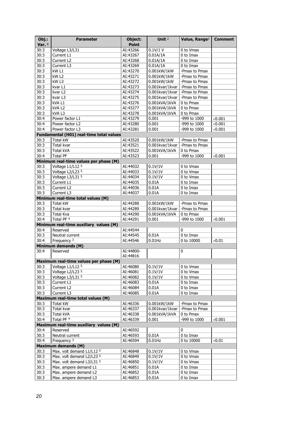| Obj.:        | <b>Parameter</b>                         | Object:              | Unit <sup>2</sup>                | Value, Range <sup>1</sup>  | <b>Comment</b> |
|--------------|------------------------------------------|----------------------|----------------------------------|----------------------------|----------------|
| Var. $6$     |                                          | <b>Point</b>         |                                  |                            |                |
| 30:3         | Voltage L3/L31                           | AI:43266             | $0.1V/1$ V                       | 0 to Vmax                  |                |
| 30:3         | Current L1                               | AI:43267             | 0.01A/1A                         | 0 to Imax                  |                |
| 30:3         | Current L2                               | AI:43268             | 0.01A/1A                         | 0 to Imax                  |                |
| 30:3         | Current L3                               | AI:43269             | 0.01A/1A                         | 0 to Imax                  |                |
| 30:3         | kW <sub>L1</sub>                         | AI:43270             | 0.001kW/1kW                      | -Pmax to Pmax              |                |
| 30:3         | kW L2                                    | AI:43271             | 0.001kW/1kW                      | -Pmax to Pmax              |                |
| 30:3         | kW <sub>L3</sub>                         | AI:43272             | 0.001kW/1kW                      | -Pmax to Pmax              |                |
| 30:3         | kvar L1                                  | AI:43273             | 0.001kvar/1kvar - Pmax to Pmax   |                            |                |
| 30:3         | kvar L <sub>2</sub>                      | AI:43274             | 0.001kvar/1kvar - Pmax to Pmax   |                            |                |
| 30:3         | kvar L3                                  | AI:43275             | 0.001kvar/1kvar                  | -Pmax to Pmax              |                |
| 30:3         | kVA L1                                   | AI:43276             | 0.001kVA/1kVA                    | 0 to Pmax                  |                |
| 30:3         | kVA L2                                   | AI:43277             | 0.001kVA/1kVA                    | 0 to Pmax                  |                |
| 30:3         | kVAL3                                    | AI:43278             | 0.001kVA/1kVA                    | 0 to Pmax                  |                |
| 30:4         | Power factor L1                          | AI:43279             | 0.001                            | -999 to 1000               | $\times$ 0.001 |
| 30:4         | Power factor L2                          | AI:43280             | 0.001                            | -999 to 1000               | $\times 0.001$ |
| 30:4         | Power factor L3                          | AI:43281             | 0.001                            | -999 to 1000               | $\times 0.001$ |
|              | Fundamental (H01) real-time total values |                      |                                  |                            |                |
| 30:3         | <b>Total kW</b>                          | AI:43520             | 0.001kW/1kW                      | -Pmax to Pmax              |                |
| 30:3         | Total kvar                               | AI:43521             | 0.001kvar/1kvar                  | -Pmax to Pmax              |                |
| 30:3         | Total kVA                                | AI:43522             | 0.001kVA/1kVA                    | 0 to Pmax                  |                |
| 30:4         | <b>Total PF</b>                          | AI:43523             | 0.001                            | -999 to 1000               | $\times 0.001$ |
|              | Minimum real-time values per phase (M)   |                      |                                  |                            |                |
| 30:3         | Voltage L1/L12 5                         | AI:44032             | 0.1V/1V                          | 0 to Vmax                  |                |
| 30:3         | Voltage L2/L23 5                         | AI:44033             | 0.1V/1V                          | 0 to Vmax                  |                |
| 30:3         | Voltage L3/L31 5                         | AI:44034             | 0.1V/1V                          | 0 to Vmax                  |                |
| 30:3         | Current L1                               | AI:44035             | 0.01A                            | 0 to Imax                  |                |
| 30:3         | Current L <sub>2</sub>                   | AI:44036             | 0.01A                            | 0 to Imax                  |                |
| 30:3         | Current L3                               | AI:44037             | 0.01A                            | 0 to Imax                  |                |
|              | Minimum real-time total values (M)       |                      |                                  |                            |                |
| 30:3         | Total kW                                 | AI:44288             | 0.001kW/1kW                      | -Pmax to Pmax              |                |
| 30:3<br>30:3 | Total kvar<br><b>Total Kva</b>           | AI:44289<br>AI:44290 | 0.001kvar/1kvar<br>0.001kVA/1kVA | -Pmax to Pmax<br>0 to Pmax |                |
| 30:4         | Total PF 4                               | AI:44291             | 0.001                            | -999 to 1000               | $\times 0.001$ |
|              | Minimum real-time auxiliary values (M)   |                      |                                  |                            |                |
| 30:4         | Reserved                                 | AI:44544             |                                  | 0                          |                |
| 30:3         | Neutral current                          | AI:44545             | 0.01A                            | 0 to Imax                  |                |
| 30:4         | Frequency <sup>3</sup>                   | AI:44546             | $0.01$ Hz                        | 0 to 10000                 | $\times 0.01$  |
|              | Minimum demands (M)                      |                      |                                  |                            |                |
| 30:4         | Reserved                                 | AI:44800-            |                                  | $\pmb{0}$                  |                |
|              |                                          | AI:44816             |                                  |                            |                |
|              | Maximum real-time values per phase (M)   |                      |                                  |                            |                |
| 30:3         | Voltage L1/L12 5                         | AI:46080             | 0.1V/1V                          | 0 to Vmax                  |                |
| 30:3         | Voltage L2/L23 5                         | AI:46081             | 0.1V/1V                          | 0 to Vmax                  |                |
| 30:3         | Voltage L3/L31 5                         | AI:46082             | 0.1V/1V                          | 0 to Vmax                  |                |
| 30:3         | Current L1                               | AI:46083             | 0.01A                            | 0 to Imax                  |                |
| 30:3         | Current L2                               | AI:46084             | 0.01A                            | 0 to Imax                  |                |
| 30:3         | Current L3                               | AI:46085             | 0.01A                            | 0 to Imax                  |                |
|              | Maximum real-time total values (M)       |                      |                                  |                            |                |
| 30:3         | <b>Total kW</b>                          | AI:46336             | 0.001kW/1kW                      | -Pmax to Pmax              |                |
| 30:3         | Total kvar                               | AI:46337             | 0.001kvar/1kvar                  | -Pmax to Pmax              |                |
| 30:3         | Total kVA                                | AI:46338             | 0.001kVA/1kVA                    | 0 to Pmax                  |                |
| 30:4         | Total PF 4                               | AI:46339             | 0.001                            | -999 to 1000               | $\times 0.001$ |
|              | Maximum real-time auxiliary values (M)   |                      |                                  |                            |                |
| 30:4         | Reserved                                 | AI:46592             |                                  | 0                          |                |
| 30:3         | Neutral current                          | AI:46593             | 0.01A                            | 0 to Imax                  |                |
| 30:4         | Frequency 3                              | AI:46594             | $0.01$ Hz                        | 0 to 10000                 | $\times 0.01$  |
|              | <b>Maximum demands (M)</b>               |                      |                                  |                            |                |
| 30:3         | Max. volt demand L1/L12 5                | AI:46848             | 0.1V/1V                          | 0 to Vmax                  |                |
| 30:3         | Max. volt demand L2/L23 5                | AI:46849             | 0.1V/1V                          | 0 to Vmax                  |                |
| 30:3         | Max. volt demand L3/L31 5                | AI:46850             | 0.1V/1V                          | 0 to Vmax                  |                |
| 30:3         | Max. ampere demand L1                    | AI:46851             | 0.01A                            | 0 to Imax                  |                |
| 30:3         | Max. ampere demand L2                    | AI:46852             | 0.01A                            | 0 to Imax                  |                |
| 30:3         | Max. ampere demand L3                    | AI:46853             | 0.01A                            | 0 to Imax                  |                |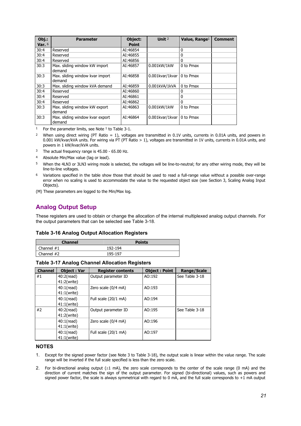| $Obj.$ : | <b>Parameter</b>                          | Object:      | Unit $2$                    | Value, Range <sup>1</sup> | Comment |
|----------|-------------------------------------------|--------------|-----------------------------|---------------------------|---------|
| Var. $6$ |                                           | <b>Point</b> |                             |                           |         |
| 30:4     | Reserved                                  | AI:46854     |                             | 0                         |         |
| 30:4     | Reserved                                  | AI:46855     |                             | 0                         |         |
| 30:4     | Reserved                                  | AI:46856     |                             | 0                         |         |
| 30:3     | Max. sliding window kW import<br>demand   | AI:46857     | 0.001kW/1kW                 | 0 to Pmax                 |         |
| 30:3     | Max. sliding window kvar import<br>demand | AI:46858     | 0.001kvar/1kvar   0 to Pmax |                           |         |
| 30:3     | Max. sliding window kVA demand            | AI:46859     | 0.001kVA/1kVA               | 0 to Pmax                 |         |
| 30:4     | Reserved                                  | AI:46860     |                             | 0                         |         |
| 30:4     | Reserved                                  | AI:46861     |                             | 0                         |         |
| 30:4     | Reserved                                  | AI:46862     |                             | 0                         |         |
| 30:3     | Max. sliding window kW export<br>demand   | AI:46863     | 0.001kW/1kW                 | 0 to Pmax                 |         |
| 30:3     | Max. sliding window kvar export<br>demand | AI:46864     | 0.001kvar/1kvar   0 to Pmax |                           |         |

<sup>1</sup> For the parameter limits, see Note  $1$  to Table 3-1.

2 When using direct wiring (PT Ratio = 1), voltages are transmitted in 0.1V units, currents in 0.01A units, and powers in 0.001 kW/kvar/kVA units. For wiring via PT (PT Ratio > 1), voltages are transmitted in 1V units, currents in 0.01A units, and powers in 1 kW/kvar/kVA units.

- <sup>3</sup> The actual frequency range is 45.00 65.00 Hz.
- 4 Absolute Min/Max value (lag or lead).
- 5 When the 4LN3 or 3LN3 wiring mode is selected, the voltages will be line-to-neutral; for any other wiring mode, they will be line-to-line voltages.
- 6 Variations specified in the table show those that should be used to read a full-range value without a possible over-range error when no scaling is used to accommodate the value to the requested object size (see Section 3, Scaling Analog Input Objects).
- (M) These parameters are logged to the Min/Max log.

# <span id="page-20-0"></span>**Analog Output Setup**

These registers are used to obtain or change the allocation of the internal multiplexed analog output channels. For the output parameters that can be selected see Table 3-18.

### **Table 3-16 Analog Output Allocation Registers**

| <b>Channel</b> | <b>Points</b> |
|----------------|---------------|
| Channel $#1$   | 192-194       |
| Channel #2     | 195-197       |

## **Table 3-17 Analog Channel Allocation Registers**

| <b>Channel</b> | <b>Object: Var</b>  | <b>Register contents</b> | <b>Object: Point</b> | Range/Scale    |
|----------------|---------------------|--------------------------|----------------------|----------------|
| #1             | $40:2(\text{read})$ | Output parameter ID      | AO:192               | See Table 3-18 |
|                | 41:2(write)         |                          |                      |                |
|                | $40:1$ (read)       | Zero scale (0/4 mA)      | AO:193               |                |
|                | 41:1(write)         |                          |                      |                |
|                | $40:1$ (read)       | Full scale (20/1 mA)     | AO:194               |                |
|                | $41:1$ (write)      |                          |                      |                |
| #2             | $40:2$ (read)       | Output parameter ID      | AO:195               | See Table 3-18 |
|                | 41:2(write)         |                          |                      |                |
|                | $40:1$ (read)       | Zero scale (0/4 mA)      | AO:196               |                |
|                | 41:1(write)         |                          |                      |                |
|                | $40:1$ (read)       | Full scale (20/1 mA)     | AO:197               |                |
|                | $41:1$ (write)      |                          |                      |                |

### **NOTES**

- 1. Except for the signed power factor (see Note 3 to Table 3-18), the output scale is linear within the value range. The scale range will be inverted if the full scale specified is less than the zero scale.
- 2. For bi-directional analog output  $(\pm 1 \text{ mA})$ , the zero scale corresponds to the center of the scale range (0 mA) and the direction of current matches the sign of the output parameter. For signed (bi-directional) values, such as powers and signed power factor, the scale is always symmetrical with regard to 0 mA, and the full scale corresponds to +1 mA output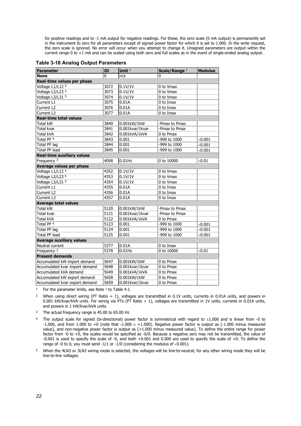for positive readings and to -1 mA output for negative readings. For these, the zero scale (0 mA output) is permanently set in the instrument to zero for all parameters except of signed power factor for which it is set to 1.000. In the write request, the zero scale is ignored. No error will occur when you attempt to change it. Unsigned parameters are output within the current range 0 to +1 mA and can be scaled using both zero and full scales as in the event of single-ended analog output.

| <b>Parameter</b>                  | ID   | Unit <sup>2</sup> | Scale/Range 1 | <b>Modulus</b> |
|-----------------------------------|------|-------------------|---------------|----------------|
| <b>None</b>                       | 0    | n/a               | 0             |                |
| Real-time values per phase        |      |                   |               |                |
| Voltage L1/L12 5                  | 3072 | 0.1V/1V           | 0 to Vmax     |                |
| Voltage L2/L23 5                  | 3073 | 0.1V/1V           | 0 to Vmax     |                |
| Voltage L3/L31 5                  | 3074 | 0.1V/1V           | 0 to Vmax     |                |
| Current L1                        | 3075 | 0.01A             | 0 to Imax     |                |
| Current L2                        | 3076 | 0.01A             | 0 to Imax     |                |
| Current L3                        | 3077 | 0.01A             | 0 to Imax     |                |
| <b>Real-time total values</b>     |      |                   |               |                |
| Total kW                          | 3840 | 0.001kW/1kW       | -Pmax to Pmax |                |
| Total kvar                        | 3841 | 0.001kvar/1kvar   | -Pmax to Pmax |                |
| <b>Total kVA</b>                  | 3842 | 0.001kVA/1kVA     | 0 to Pmax     |                |
| Total PF <sup>4</sup>             | 3843 | 0.001             | -999 to 1000  | $\times$ 0.001 |
| Total PF lag                      | 3844 | 0.001             | -999 to 1000  | $\times$ 0.001 |
| <b>Total PF lead</b>              | 3845 | 0.001             | -999 to 1000  | $\times$ 0.001 |
| <b>Real-time auxiliary values</b> |      |                   |               |                |
| Frequency <sup>3</sup>            | 4098 | $0.01$ Hz         | 0 to 10000    | $\times 0.01$  |
| Average values per phase          |      |                   |               |                |
| Voltage L1/L12 5                  | 4352 | 0.1V/1V           | 0 to Vmax     |                |
| Voltage L2/L23 5                  | 4353 | 0.1V/1V           | 0 to Vmax     |                |
| Voltage L3/L31 5                  | 4354 | 0.1V/1V           | 0 to Vmax     |                |
| Current L1                        | 4355 | 0.01A             | 0 to Imax     |                |
| Current L <sub>2</sub>            | 4356 | 0.01A             | 0 to Imax     |                |
| Current L3                        | 4357 | 0.01A             | 0 to Imax     |                |
| <b>Average total values</b>       |      |                   |               |                |
| <b>Total kW</b>                   | 5120 | 0.001kW/1kW       | -Pmax to Pmax |                |
| <b>Total kvar</b>                 | 5121 | 0.001kvar/1kvar   | -Pmax to Pmax |                |
| Total kVA                         | 5122 | 0.001kVA/1kVA     | 0 to Pmax     |                |
| Total PF <sup>4</sup>             | 5123 | 0.001             | -999 to 1000  | $\times 0.001$ |
| Total PF lag                      | 5124 | 0.001             | -999 to 1000  | $\times$ 0.001 |
| <b>Total PF lead</b>              | 5125 | 0.001             | -999 to 1000  | $\times 0.001$ |
| <b>Average auxiliary values</b>   |      |                   |               |                |
| Neutral current                   | 5377 | 0.01A             | 0 to Imax     |                |
| Frequency 3                       | 5378 | $0.01$ Hz         | 0 to 10000    | $\times 0.01$  |
| <b>Present demands</b>            |      |                   |               |                |
| Accumulated kW import demand      | 5647 | 0.001kW/1kW       | 0 to Pmax     |                |
| Accumulated kvar import demand    | 5648 | 0.001kvar/1kvar   | 0 to Pmax     |                |
| Accumulated kVA demand            | 5649 | 0.001kVA/1kVA     | 0 to Pmax     |                |
| Accumulated kW export demand      | 5658 | 0.001kW/1kW       | 0 to Pmax     |                |
| Accumulated kvar export demand    | 5659 | 0.001kvar/1kvar   | 0 to Pmax     |                |

<sup>1</sup> For the parameter limits, see Note  $1$  to Table 4.1.

<sup>2</sup> When using direct wiring (PT Ratio = 1), voltages are transmitted in 0.1V units, currents in 0.01A units, and powers in 0.001 kW/kvar/kVA units. For wiring via PTs (PT Ratio > 1), voltages are transmitted in 1V units, currents in 0.01A units, and powers in 1 kW/kvar/kVA units.

- <sup>3</sup> The actual frequency range is 45.00 to 65.00 Hz
- <sup>4</sup> The output scale for signed (bi-directional) power factor is symmetrical with regard to  $\pm 1.000$  and is linear from -0 to -1.000, and from 1.000 to +0 (note that  $-1.000 = +1.000$ ). Negative power factor is output as  $[-1.000$  minus measured value], and non-negative power factor is output as [+1.000 minus measured value]. To define the entire range for power factor from -0 to +0, the scales would be specified as -0/0. Because a negative zero may not be transmitted, the value of -0.001 is used to specify the scale of -0, and both +0.001 and 0.000 are used to specify the scale of +0. To define the range of -0 to 0, you must send -1/1 or -1/0 (considering the modulus of  $\times$ 0.001).
- 5 When the 4LN3 or 3LN3 wiring mode is selected, the voltages will be line-to-neutral; for any other wiring mode they will be line-to-line voltages.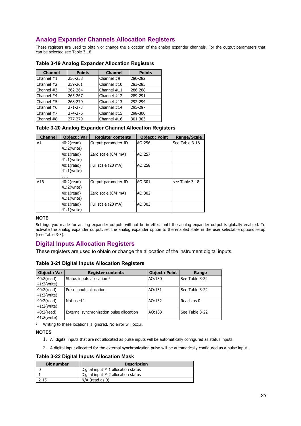# <span id="page-22-0"></span>**Analog Expander Channels Allocation Registers**

These registers are used to obtain or change the allocation of the analog expander channels. For the output parameters that can be selected see Table 3-18.

| <b>Channel</b> | <b>Points</b> | <b>Channel</b> | <b>Points</b> |
|----------------|---------------|----------------|---------------|
| Channel $#1$   | 256-258       | Channel #9     | 280-282       |
| Channel #2     | 259-261       | Channel #10    | 283-285       |
| Channel $#3$   | 262-264       | Channel #11    | 286-288       |
| Channel #4     | 265-267       | Channel #12    | 289-291       |
| Channel #5     | 268-270       | Channel #13    | 292-294       |
| Channel #6     | 271-273       | Channel #14    | 295-297       |
| Channel #7     | 274-276       | Channel #15    | 298-300       |
| Channel #8     | 277-279       | Channel $#16$  | 301-303       |

# **Table 3-19 Analog Expander Allocation Registers**

# **Table 3-20 Analog Expander Channel Allocation Registers**

| <b>Channel</b> | <b>Object: Var</b>                                      | <b>Register contents</b> | <b>Object: Point</b> | Range/Scale    |
|----------------|---------------------------------------------------------|--------------------------|----------------------|----------------|
| #1             | $40:2$ (read)<br>41:2(write)                            | Output parameter ID      | AO:256               | See Table 3-18 |
|                | $40:1$ (read)<br>$41:1$ (write)                         | Zero scale (0/4 mA)      | AO:257               |                |
|                | $40:1$ (read)<br>$41:1$ (write)<br>$\sim$ $\sim$ $\sim$ | Full scale (20 mA)       | AO:258               |                |
| #16            | $40:2$ (read)<br>41:2(write)                            | Output parameter ID      | AO:301               | see Table 3-18 |
|                | $40:1$ (read)<br>$41:1$ (write)                         | Zero scale (0/4 mA)      | AO:302               |                |
|                | $40:1$ (read)<br>$41:1$ (write)                         | Full scale (20 mA)       | AO:303               |                |

### **NOTE**

Settings you made for analog expander outputs will not be in effect until the analog expander output is globally enabled. To activate the analog expander output, set the analog expander option to the enabled state in the user selectable options setup (see Table 3-3).

# <span id="page-22-1"></span>**Digital Inputs Allocation Registers**

These registers are used to obtain or change the allocation of the instrument digital inputs.

## **Table 3-21 Digital Inputs Allocation Registers**

| <b>Object: Var</b> | <b>Register contents</b>                  | <b>Object: Point</b> | Range          |
|--------------------|-------------------------------------------|----------------------|----------------|
| $40:2$ (read)      | Status inputs allocation 1                | AO:130               | See Table 3-22 |
| 41:2(write)        |                                           |                      |                |
| $40:2$ (read)      | Pulse inputs allocation                   | AO:131               | See Table 3-22 |
| 41:2(write)        |                                           |                      |                |
| $40:2$ (read)      | Not used $1$                              | AO:132               | Reads as 0     |
| 41:2(write)        |                                           |                      |                |
| $40:2$ (read)      | External synchronization pulse allocation | AO:133               | See Table 3-22 |
| 41:2(write)        |                                           |                      |                |

1 Writing to these locations is ignored. No error will occur.

## **NOTES**

- 1. All digital inputs that are not allocated as pulse inputs will be automatically configured as status inputs.
- 2. A digital input allocated for the external synchronization pulse will be automatically configured as a pulse input.

# **Table 3-22 Digital Inputs Allocation Mask**

| <b>Bit number</b> | <b>Description</b>                    |
|-------------------|---------------------------------------|
|                   | Digital input $# 1$ allocation status |
|                   | Digital input $# 2$ allocation status |
| $2 - 15$          | $N/A$ (read as 0)                     |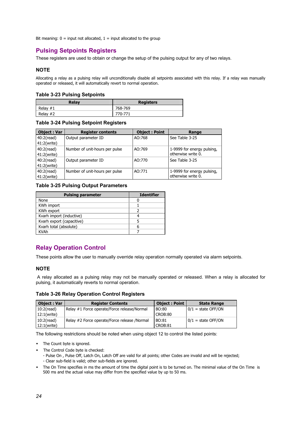Bit meaning:  $0 =$  input not allocated,  $1 =$  input allocated to the group

# <span id="page-23-0"></span>**Pulsing Setpoints Registers**

These registers are used to obtain or change the setup of the pulsing output for any of two relays.

# **NOTE**

Allocating a relay as a pulsing relay will unconditionally disable all setpoints associated with this relay. If a relay was manually operated or released, it will automatically revert to normal operation.

### **Table 3-23 Pulsing Setpoints**

| Relav      | <b>Registers</b> |
|------------|------------------|
| Relay $#1$ | 768-769          |
| Relay $#2$ | 770-771          |

### **Table 3-24 Pulsing Setpoint Registers**

| <b>Object: Var</b> | <b>Register contents</b>       | <b>Object: Point</b> | Range                      |
|--------------------|--------------------------------|----------------------|----------------------------|
| $40:2$ (read)      | Output parameter ID            | AO:768               | See Table 3-25             |
| 41:2(write)        |                                |                      |                            |
| $40:2$ (read)      | Number of unit-hours per pulse | AO:769               | 1-9999 for energy pulsing, |
| 41:2(write)        |                                |                      | otherwise write 0.         |
| $40:2$ (read)      | Output parameter ID            | AO:770               | See Table 3-25             |
| 41:2(write)        |                                |                      |                            |
| $40:2$ (read)      | Number of unit-hours per pulse | AO:771               | 1-9999 for energy pulsing, |
| 41:2(write)        |                                |                      | otherwise write 0.         |

# **Table 3-25 Pulsing Output Parameters**

| <b>Identifier</b> |
|-------------------|
|                   |
|                   |
|                   |
|                   |
|                   |
|                   |
|                   |
|                   |

# <span id="page-23-1"></span>**Relay Operation Control**

These points allow the user to manually override relay operation normally operated via alarm setpoints.

# **NOTE**

 A relay allocated as a pulsing relay may not be manually operated or released. When a relay is allocated for pulsing, it automatically reverts to normal operation.

### **Table 3-26 Relay Operation Control Registers**

| <b>Object: Var</b> | <b>Register Contents</b>                     | Object: Point | <b>State Range</b>   |
|--------------------|----------------------------------------------|---------------|----------------------|
| $10:2$ (read)      | Relay #1 Force operate/Force release/Normal  | BO:80         | $0/1$ = state OFF/ON |
| 12:1(write)        |                                              | CROB:80       |                      |
| $10:2$ (read)      | Relay #2 Force operate/Force release /Normal | BO:81         | $0/1$ = state OFF/ON |
| 12:1(write)        |                                              | CROB:81       |                      |

The following restrictions should be noted when using object 12 to control the listed points:

- The Count byte is ignored.
- The Control Code byte is checked:
	- Pulse On , Pulse Off, Latch On, Latch Off are valid for all points; other Codes are invalid and will be rejected;
	- Clear sub-field is valid; other sub-fields are ignored.
- The On Time specifies in ms the amount of time the digital point is to be turned on. The minimal value of the On Time is 500 ms and the actual value may differ from the specified value by up to 50 ms.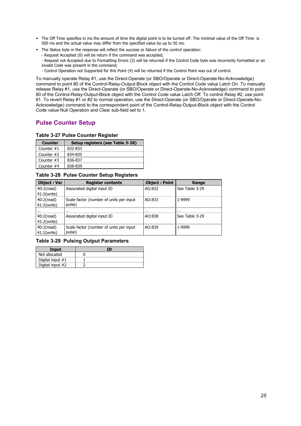- The Off Time specifies in ms the amount of time the digital point is to be turned off. The minimal value of the Off Time is 500 ms and the actual value may differ from the specified value by up to 50 ms.
- The Status byte in the response will reflect the success or failure of the control operation:
	- Request Accepted (0) will be return if the command was accepted;

- Request not Accepted due to Formatting Errors (3) will be returned if the Control Code byte was incorrectly formatted or an invalid Code was present in the command;

- Control Operation not Supported for this Point (4) will be returned if the Control Point was out of control.

To manually operate Relay #1, use the Direct-Operate (or SBO/Operate or Direct-Operate-No-Acknowledge) command to point 80 of the Control-Relay-Output-Block object with the Control Code value Latch On. To manually release Relay #1, use the Direct-Operate (or SBO/Operate or Direct-Operate-No-Acknowledge) command to point 80 of the Control-Relay-Output-Block object with the Control Code value Latch Off. To control Relay #2, use point 81. To revert Relay #1 or #2 to normal operation, use the Direct-Operate (or SBO/Operate or Direct-Operate-No-Acknowledge) command to the correspondent point of the Control-Relay-Output-Block object with the Control Code value Null Operation and Clear sub-field set to 1.

# <span id="page-24-0"></span>**Pulse Counter Setup**

## **Table 3-27 Pulse Counter Register**

| <b>Counter</b> | Setup registers (see Table 3-28) |
|----------------|----------------------------------|
| Counter $#1$   | 832-833                          |
| Counter $#2$   | 834-835                          |
| Counter $#3$   | 836-837                          |
| Counter #4     | 838-839                          |

**Table 3-28 Pulse Counter Setup Registers** 

| <b>Object: Var</b> | <b>Register contents</b>                | <b>Object: Point</b> | Range          |
|--------------------|-----------------------------------------|----------------------|----------------|
| $40:2$ (read)      | Associated digital input ID             | AO:832               | See Table 3-29 |
| 41:2(write)        |                                         |                      |                |
| $40:2$ (read)      | Scale factor (number of units per input | AO:833               | 1-9999         |
| 41:2(write)        | pulse)                                  |                      |                |
| $\cdots$           |                                         |                      | $\cdots$       |
| $40:2$ (read)      | Associated digital input ID             | AO:838               | See Table 3-29 |
| 41:2(write)        |                                         |                      |                |
| $40:2$ (read)      | Scale factor (number of units per input | AO:839               | 1-9999         |
| 41:2(write)        | pulse)                                  |                      |                |

# **Table 3-29 Pulsing Output Parameters**

| Input            | ΙD |
|------------------|----|
| Not allocated    |    |
| Digital input #1 |    |
| Digital input #2 |    |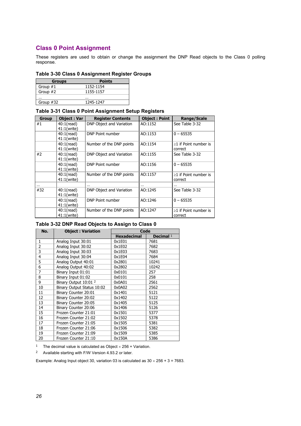# <span id="page-25-0"></span>**Class 0 Point Assignment**

These registers are used to obtain or change the assignment the DNP Read objects to the Class 0 polling response.

# **Table 3-30 Class 0 Assignment Register Groups**

| <b>Groups</b> | <b>Points</b> |
|---------------|---------------|
| Group $#1$    | 1152-1154     |
| Group #2      | 1155-1157     |
|               | $\cdots$      |
| Group #32     | 1245-1247     |

# **Table 3-31 Class 0 Point Assignment Setup Registers**

| <b>Group</b> | <b>Object: Var</b>           | <b>Register Contents</b> | <b>Object: Point</b> | Range/Scale                            |
|--------------|------------------------------|--------------------------|----------------------|----------------------------------------|
| #1           | $40:1$ (read)<br>41:1(write) | DNP Object and Variation | AO:1152              | See Table 3-32                         |
|              | 40:1(read)<br>41:1(write)    | DNP Point number         | AO:1153              | $0 - 65535$                            |
|              | $40:1$ (read)<br>41:1(write) | Number of the DNP points | AO:1154              | $\geq$ 1 if Point number is<br>correct |
| #2           | $40:1$ (read)<br>41:1(write) | DNP Object and Variation | AO:1155              | See Table 3-32                         |
|              | $40:1$ (read)<br>41:1(write) | DNP Point number         | AO:1156              | $0 - 65535$                            |
|              | $40:1$ (read)<br>41:1(write) | Number of the DNP points | AO:1157              | $\geq$ 1 if Point number is<br>correct |
|              |                              | $\cdots$                 |                      |                                        |
| #32          | 40:1(read)<br>41:1(write)    | DNP Object and Variation | AO:1245              | See Table 3-32                         |
|              | $40:1$ (read)<br>41:1(write) | DNP Point number         | AO:1246              | $0 - 65535$                            |
|              | $40:1$ (read)<br>41:1(write) | Number of the DNP points | AO:1247              | $\geq$ 1 if Point number is<br>correct |

# **Table 3-32 DNP Read Objects to Assign to Class 0**

| No.            | <b>Object: Variation</b>         | Code               |             |
|----------------|----------------------------------|--------------------|-------------|
|                |                                  | <b>Hexadecimal</b> | Decimal $1$ |
| 1              | Analog Input 30:01               | 0x1E01             | 7681        |
| $\overline{2}$ | Analog Input 30:02               | 0x1E02             | 7682        |
| 3              | Analog Input 30:03               | 0x1E03             | 7683        |
| 4              | Analog Input 30:04               | 0x1E04             | 7684        |
| 5              | Analog Output 40:01              | 0x2801             | 10241       |
| 6              | Analog Output 40:02              | 0x2802             | 10242       |
| 7              | Binary Input 01:01               | 0x0101             | 257         |
| 8              | Binary Input 01:02               | 0x0101             | 258         |
| 9              | Binary Output 10:01 <sup>2</sup> | 0x0A01             | 2561        |
| 10             | Binary Output Status 10:02       | 0x0A02             | 2562        |
| 11             | Binary Counter 20:01             | 0x1401             | 5121        |
| 12             | Binary Counter 20:02             | 0x1402             | 5122        |
| 13             | Binary Counter 20:05             | 0x1405             | 5125        |
| 14             | Binary Counter 20:06             | 0x1406             | 5126        |
| 15             | Frozen Counter 21:01             | 0x1501             | 5377        |
| 16             | Frozen Counter 21:02             | 0x1502             | 5378        |
| 17             | Frozen Counter 21:05             | 0x1505             | 5381        |
| 18             | Frozen Counter 21:06             | 0x1506             | 5382        |
| 19             | Frozen Counter 21:09             | 0x1509             | 5385        |
| 20             | Frozen Counter 21:10             | 0x150A             | 5386        |

<sup>1</sup> The decimal value is calculated as Object  $\times$  256 + Variation.

2 Available starting with F/W Version 4.93.2 or later.

Example: Analog Input object 30, variation 03 is calculated as  $30 \times 256 + 3 = 7683$ .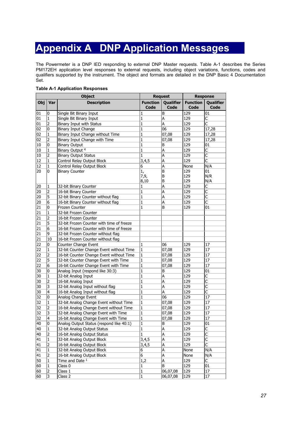# **Appendix A DNP Application Messages**

<span id="page-26-0"></span>The Powermeter is a DNP IED responding to external DNP Master requests. Table A-1 describes the Series PM172EH application level responses to external requests, including object variations, functions, codes and qualifiers supported by the instrument. The object and formats are detailed in the DNP Basic 4 Documentation Set.

|     | <b>Object</b>  |                                           |                         | <b>Request</b>           |                         | <b>Response</b>         |  |
|-----|----------------|-------------------------------------------|-------------------------|--------------------------|-------------------------|-------------------------|--|
| Obj | Var            | <b>Description</b>                        | <b>Function</b><br>Code | Qualifier<br><b>Code</b> | <b>Function</b><br>Code | Qualifier<br>Code       |  |
| 01  | 0              | Single Bit Binary Input                   | 1                       | B                        | 129                     | 01                      |  |
| 01  | $\mathbf 1$    | Single Bit Binary Input                   | $\mathbf{1}$            | A                        | 129                     | C                       |  |
| 01  | 2              | Binary Input with Status                  | 1                       | Α                        | 129                     | C                       |  |
| 02  | 0              | <b>Binary Input Change</b>                | 1                       | 06                       | 129                     | 17,28                   |  |
| 02  | 1              | Binary Input Change without Time          | $\mathbf{1}$            | 07,08                    | 129                     | 17,28                   |  |
| 02  | 2              | Binary Input Change with Time             | $\mathbf{1}$            | 07,08                    | 129                     | 17,28                   |  |
| 10  | 0              | <b>Binary Output</b>                      | 1                       | В                        | 129                     | 01                      |  |
| 10  | 1              | Binary Output <sup>4</sup>                | $\mathbf{1}$            | A                        | 129                     | $\overline{\mathsf{C}}$ |  |
| 10  | 2              | <b>Binary Output Status</b>               | $\mathbf{1}$            | A                        | 129                     | $\overline{\mathsf{C}}$ |  |
| 12  | 1              | Control Relay Output Block                | 3,4,5                   | A                        | 129                     | C                       |  |
| 12  | 1              | Control Relay Output Block                | 6                       | A                        | None                    | N/A                     |  |
| 20  | 0              | <b>Binary Counter</b>                     | 1,                      | B                        | 129                     | 01                      |  |
|     |                |                                           | 7,9,                    | B                        | 129                     | N/R                     |  |
|     |                |                                           | 8,10                    | B                        | 129                     | N/A                     |  |
| 20  | 1              | 32-bit Binary Counter                     | 1                       | A                        | 129                     | C                       |  |
| 20  | 2              | 16-bit Binary Counter                     | $\mathbf{1}$            | A                        | 129                     | $\overline{\mathsf{C}}$ |  |
| 20  | 5              | 32-bit Binary Counter without flag        | 1                       | A                        | 129                     | C                       |  |
| 20  | 6              | 16-bit Binary Counter without flag        | 1                       | A                        | 129                     | C                       |  |
| 21  | 0              | Frozen Counter                            | $\mathbf{1}$            | B                        | 129                     | 01                      |  |
| 21  | 1              | 32-bit Frozen Counter                     |                         |                          |                         |                         |  |
| 21  | 2              | 16-bit Frozen Counter                     |                         |                          |                         |                         |  |
| 21  | 5              | 32-bit Frozen Counter with time of freeze |                         |                          |                         |                         |  |
| 21  | 6              | 16-bit Frozen Counter with time of freeze |                         |                          |                         |                         |  |
| 21  | 9              | 32-bit Frozen Counter without flag        |                         |                          |                         |                         |  |
| 21  | 10             | 16-bit Frozen Counter without flag        |                         |                          |                         |                         |  |
| 22  | 0              | Counter Change Event                      | 1                       | 06                       | 129                     | 17                      |  |
| 22  | $\mathbf{1}$   | 32-bit Counter Change Event without Time  | $\mathbf{1}$            | 07,08                    | 129                     | 17                      |  |
| 22  | 2              | 16-bit Counter Change Event without Time  | $\mathbf{1}$            | 07,08                    | 129                     | 17                      |  |
| 22  | 5              | 32-bit Counter Change Event with Time     | 1                       | 07,08                    | 129                     | 17                      |  |
| 22  | 6              | 16-bit Counter Change Event with Time     | $\mathbf{1}$            | 07,08                    | 129                     | 17                      |  |
| 30  | 0              | Analog Input (respond like 30:3)          | $\mathbf{1}$            | В                        | 129                     | 01                      |  |
| 30  | 1              | 32-bit Analog Input                       | $\mathbf{1}$            | A                        | 129                     | C                       |  |
| 30  | 2              | 16-bit Analog Input                       | $\mathbf{1}$            | A                        | 129                     | C                       |  |
| 30  | 3              | 32-bit Analog Input without flag          | 1                       | Α                        | 129                     | $\overline{\mathsf{C}}$ |  |
| 30  | 4              | 16-bit Analog Input without flag          | $\mathbf{1}$            | A                        | 129                     | $\overline{\mathsf{C}}$ |  |
| 32  | 0              | Analog Change Event                       | 1                       | 06                       | 129                     | 17                      |  |
| 32  | 1              | 32-bit Analog Change Event without Time   | 1                       | 07,08                    | 129                     | 17                      |  |
| 32  | 2              | 16-bit Analog Change Event without Time   | $\mathbf{1}$            | 07,08                    | 129                     | 17                      |  |
| 32  | 3              | 32-bit Analog Change Event with Time      | $\mathbf{1}$            | 07,08                    | 129                     | 17                      |  |
| 32  | 4              | 16-bit Analog Change Event with Time      | 1                       | 07,08                    | 129                     | 17                      |  |
| 40  | 0              | Analog Output Status (respond like 40:1)  | $\mathbf{1}$            | B                        | 129                     | 01                      |  |
| 40  | 1              | 32-bit Analog Output Status               | $\mathbf{1}$            | A                        | 129                     | $\overline{\mathsf{C}}$ |  |
| 40  | 2              | 16-bit Analog Output Status               | $\mathbf{1}$            | A                        | 129                     | $\overline{\mathsf{C}}$ |  |
| 41  | 1              | 32-bit Analog Output Block                | 3,4,5                   | A                        | 129                     | $\overline{\mathsf{C}}$ |  |
| 41  | 2              | 16-bit Analog Output Block                | 3,4,5                   | A                        | 129                     | C                       |  |
| 41  | $\mathbf{1}$   | 32-bit Analog Output Block                | 6                       | A                        | None                    | N/A                     |  |
| 41  | 2              | 16-bit Analog Output Block                | $\overline{6}$          | A                        | None                    | N/A                     |  |
| 50  | 1              | Time and Date 1                           | 1,2                     | A                        | 129                     | C                       |  |
| 60  | 1              | Class 0                                   | 1                       | B                        | 129                     | 01                      |  |
| 60  | $\overline{2}$ | Class 1                                   | $\overline{1}$          | 06,07,08                 | 129                     | 17                      |  |
| 60  | 3              | Class 2                                   | $\mathbf 1$             | 06,07,08                 | 129                     | 17                      |  |

# **Table A-1 Application Responses**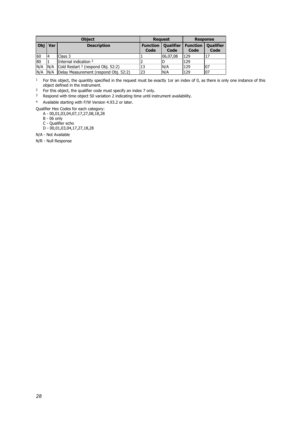| <b>Object</b> |     | <b>Request</b>                                |                         | <b>Response</b>          |                         |                          |
|---------------|-----|-----------------------------------------------|-------------------------|--------------------------|-------------------------|--------------------------|
| Obi           | Var | <b>Description</b>                            | <b>Function</b><br>Code | <b>Qualifier</b><br>Code | <b>Function</b><br>Code | <b>Qualifier</b><br>Code |
| 60            |     | Class 3                                       |                         | 06,07,08                 | 129                     |                          |
| 80            |     | Internal indication 2                         |                         |                          | 129                     |                          |
| N/A           | N/A | Cold Restart <sup>3</sup> (respond Obj. 52:2) | 13                      | N/A                      | 129                     | 07                       |
| N/A           |     | N/A   Delay Measurement (respond Obj. 52:2)   | 23                      | N/A                      | 129                     | 07                       |

<sup>1</sup> For this object, the quantity specified in the request must be exactly 1or an index of 0, as there is only one instance of this object defined in the instrument.

<sup>2</sup> For this object, the qualifier code must specify an index 7 only.

3 Respond with time object 50 variation 2 indicating time until instrument availability.

4 Available starting with F/W Version 4.93.2 or later.

Qualifier Hex Codes for each category:

A - 00,01,03,04,07,17,27,08,18,28

 B - 06 only C - Qualifier echo

D - 00,01,03,04,17,27,18,28

N/A - Not Available

N/R - Null Response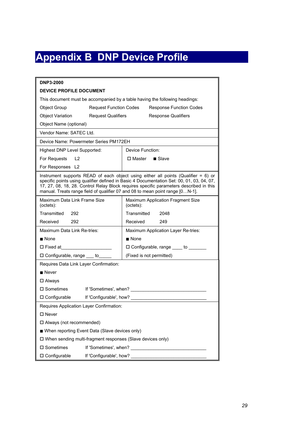# **Appendix B DNP Device Profile**

<span id="page-28-0"></span>

| <b>DNP3-2000</b>                                                              |                                                                                                                                                                                                                                                                              |  |  |  |
|-------------------------------------------------------------------------------|------------------------------------------------------------------------------------------------------------------------------------------------------------------------------------------------------------------------------------------------------------------------------|--|--|--|
| <b>DEVICE PROFILE DOCUMENT</b>                                                |                                                                                                                                                                                                                                                                              |  |  |  |
| This document must be accompanied by a table having the following headings:   |                                                                                                                                                                                                                                                                              |  |  |  |
| <b>Object Group</b><br><b>Request Function Codes</b>                          | <b>Response Function Codes</b>                                                                                                                                                                                                                                               |  |  |  |
| <b>Object Variation</b><br><b>Request Qualifiers</b>                          | <b>Response Qualifiers</b>                                                                                                                                                                                                                                                   |  |  |  |
| Object Name (optional)                                                        |                                                                                                                                                                                                                                                                              |  |  |  |
| Vendor Name: SATEC Ltd.                                                       |                                                                                                                                                                                                                                                                              |  |  |  |
| Device Name: Powermeter Series PM172EH                                        |                                                                                                                                                                                                                                                                              |  |  |  |
| Highest DNP Level Supported:                                                  | Device Function:                                                                                                                                                                                                                                                             |  |  |  |
| For Requests L2                                                               | □ Master ■ Slave                                                                                                                                                                                                                                                             |  |  |  |
| For Responses L2                                                              |                                                                                                                                                                                                                                                                              |  |  |  |
| manual. Treats range field of qualifier 07 and 08 to mean point range [0N-1]. | Instrument supports READ of each object using either all points (Qualifier $= 6$ ) or<br>specific points using qualifier defined in Basic 4 Documentation Set: 00, 01, 03, 04, 07,<br>17, 27, 08, 18, 28. Control Relay Block requires specific parameters described in this |  |  |  |
| Maximum Data Link Frame Size<br>(octets):                                     | Maximum Application Fragment Size<br>(octets):                                                                                                                                                                                                                               |  |  |  |
| Transmitted 292                                                               | Transmitted<br>2048                                                                                                                                                                                                                                                          |  |  |  |
| Received<br>292                                                               | Received<br>249                                                                                                                                                                                                                                                              |  |  |  |
| Maximum Data Link Re-tries:                                                   | Maximum Application Layer Re-tries:                                                                                                                                                                                                                                          |  |  |  |
| $\blacksquare$ None                                                           | $\blacksquare$ None                                                                                                                                                                                                                                                          |  |  |  |
| $\square$ Fixed at $\square$                                                  | □ Configurable, range ____ to ______                                                                                                                                                                                                                                         |  |  |  |
| □ Configurable, range ___ to_                                                 | (Fixed is not permitted)                                                                                                                                                                                                                                                     |  |  |  |
| Requires Data Link Layer Confirmation:                                        |                                                                                                                                                                                                                                                                              |  |  |  |
| $\blacksquare$ Never                                                          |                                                                                                                                                                                                                                                                              |  |  |  |
| $\square$ Always                                                              |                                                                                                                                                                                                                                                                              |  |  |  |
| $\square$ Sometimes                                                           | If 'Sometimes', when?                                                                                                                                                                                                                                                        |  |  |  |
| □ Configurable<br>If 'Configurable', how?                                     |                                                                                                                                                                                                                                                                              |  |  |  |
| Requires Application Layer Confirmation:                                      |                                                                                                                                                                                                                                                                              |  |  |  |
| $\square$ Never                                                               |                                                                                                                                                                                                                                                                              |  |  |  |
| □ Always (not recommended)                                                    |                                                                                                                                                                                                                                                                              |  |  |  |
| ■ When reporting Event Data (Slave devices only)                              |                                                                                                                                                                                                                                                                              |  |  |  |
| □ When sending multi-fragment responses (Slave devices only)                  |                                                                                                                                                                                                                                                                              |  |  |  |
| □ Sometimes                                                                   |                                                                                                                                                                                                                                                                              |  |  |  |
| □ Configurable                                                                |                                                                                                                                                                                                                                                                              |  |  |  |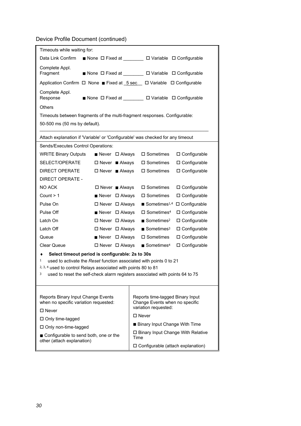Device Profile Document (continued)

| Timeouts while waiting for:                                                                                                                                                                                                                                                             |                                    |                                                                                                  |  |  |  |  |
|-----------------------------------------------------------------------------------------------------------------------------------------------------------------------------------------------------------------------------------------------------------------------------------------|------------------------------------|--------------------------------------------------------------------------------------------------|--|--|--|--|
|                                                                                                                                                                                                                                                                                         |                                    | Data Link Confirm ■ None □ Fixed at _______ □ Variable □ Configurable                            |  |  |  |  |
| Complete Appl.<br>Fragment                                                                                                                                                                                                                                                              |                                    | ■ None ロ Fixed at ________ ロ Variable ロ Configurable                                             |  |  |  |  |
|                                                                                                                                                                                                                                                                                         |                                    | Application Confirm $\Box$ None Fixed at $\underline{5 sec}$ $\Box$ Variable $\Box$ Configurable |  |  |  |  |
| Complete Appl.<br>Response                                                                                                                                                                                                                                                              |                                    | ■ None ロ Fixed at ________ ロ Variable ロ Configurable                                             |  |  |  |  |
| <b>Others</b>                                                                                                                                                                                                                                                                           |                                    |                                                                                                  |  |  |  |  |
|                                                                                                                                                                                                                                                                                         |                                    | Timeouts between fragments of the multi-fragment responses. Configurable:                        |  |  |  |  |
| 50-500 ms (50 ms by default).                                                                                                                                                                                                                                                           |                                    |                                                                                                  |  |  |  |  |
|                                                                                                                                                                                                                                                                                         |                                    | Attach explanation if 'Variable' or 'Configurable' was checked for any timeout                   |  |  |  |  |
| Sends/Executes Control Operations:                                                                                                                                                                                                                                                      |                                    |                                                                                                  |  |  |  |  |
| <b>WRITE Binary Outputs</b>                                                                                                                                                                                                                                                             | $\blacksquare$ Never $\Box$ Always | □ Sometimes<br>□ Configurable                                                                    |  |  |  |  |
| SELECT/OPERATE                                                                                                                                                                                                                                                                          | $\square$ Never $\square$ Always   | □ Configurable<br>$\square$ Sometimes                                                            |  |  |  |  |
| <b>DIRECT OPERATE</b>                                                                                                                                                                                                                                                                   | $\square$ Never $\square$ Always   | $\square$ Sometimes<br>□ Configurable                                                            |  |  |  |  |
| <b>DIRECT OPERATE -</b>                                                                                                                                                                                                                                                                 |                                    |                                                                                                  |  |  |  |  |
| <b>NO ACK</b>                                                                                                                                                                                                                                                                           | $\Box$ Never $\blacksquare$ Always | □ Sometimes<br>□ Configurable                                                                    |  |  |  |  |
| Count $> 1$                                                                                                                                                                                                                                                                             | ■ Never □ Always                   | □ Sometimes<br>□ Configurable                                                                    |  |  |  |  |
| Pulse On                                                                                                                                                                                                                                                                                | $\Box$ Never $\Box$ Always         | Sometimes <sup>1,4</sup> $\Box$ Configurable                                                     |  |  |  |  |
| Pulse Off                                                                                                                                                                                                                                                                               | $\blacksquare$ Never $\Box$ Always | $\square$ Sometimes <sup>4</sup><br>□ Configurable                                               |  |  |  |  |
| Latch On                                                                                                                                                                                                                                                                                | $\Box$ Never $\Box$ Always         | $\blacksquare$ Sometimes <sup>2</sup><br>□ Configurable                                          |  |  |  |  |
| Latch Off                                                                                                                                                                                                                                                                               | $\Box$ Never $\Box$ Always         | $\blacksquare$ Sometimes <sup>3</sup><br>□ Configurable                                          |  |  |  |  |
| Queue                                                                                                                                                                                                                                                                                   | $\blacksquare$ Never $\Box$ Always | $\square$ Sometimes<br>□ Configurable                                                            |  |  |  |  |
| <b>Clear Queue</b>                                                                                                                                                                                                                                                                      | $\Box$ Never $\Box$ Always         | $\blacksquare$ Sometimes <sup>4</sup><br>□ Configurable                                          |  |  |  |  |
| Select timeout period is configurable: 2s to 30s<br>٠<br>used to activate the Reset function associated with points 0 to 21<br>1<br>2, 3, 4 used to control Relays associated with points 80 to 81<br>3<br>used to reset the self-check alarm registers associated with points 64 to 75 |                                    |                                                                                                  |  |  |  |  |
| Reports Binary Input Change Events<br>Reports time-tagged Binary Input<br>when no specific variation requested:<br>Change Events when no specific<br>variation requested:<br>□ Never<br>□ Never                                                                                         |                                    |                                                                                                  |  |  |  |  |
| $\Box$ Only time-tagged<br>□ Only non-time-tagged                                                                                                                                                                                                                                       |                                    | Binary Input Change With Time                                                                    |  |  |  |  |
| ■ Configurable to send both, one or the                                                                                                                                                                                                                                                 |                                    | $\square$ Binary Input Change With Relative<br>Time                                              |  |  |  |  |
| other (attach explanation)                                                                                                                                                                                                                                                              |                                    | □ Configurable (attach explanation)                                                              |  |  |  |  |